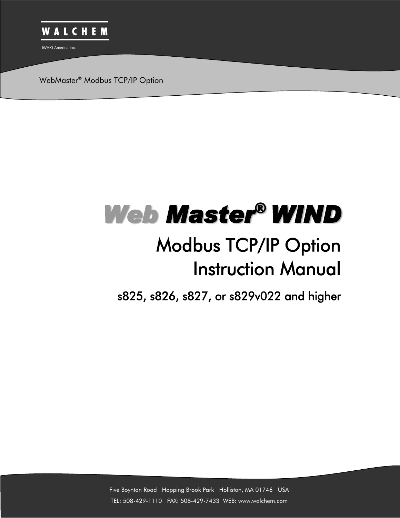

WebMaster® Modbus TCP/IP Option

# *Web Master® WIND*

## Modbus TCP/IP Option Instruction Manual

s825, s826, s827, or s829v022 and higher

Five Boynton Road Hopping Brook Park Holliston, MA 01746 USA TEL: 508-429-1110 FAX: 508-429-7433 WEB: www.walchem.com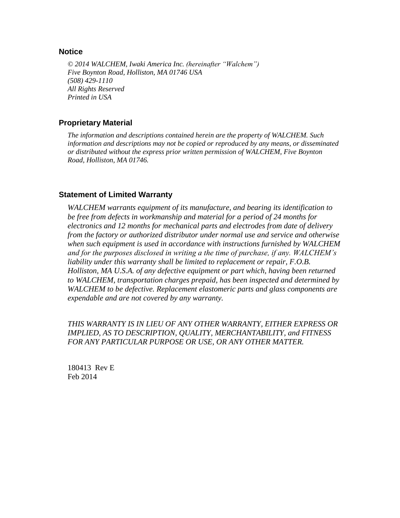#### **Notice**

*© 2014 WALCHEM, Iwaki America Inc. (hereinafter "Walchem") Five Boynton Road, Holliston, MA 01746 USA (508) 429-1110 All Rights Reserved Printed in USA*

#### **Proprietary Material**

*The information and descriptions contained herein are the property of WALCHEM. Such information and descriptions may not be copied or reproduced by any means, or disseminated or distributed without the express prior written permission of WALCHEM, Five Boynton Road, Holliston, MA 01746.*

#### **Statement of Limited Warranty**

*WALCHEM warrants equipment of its manufacture, and bearing its identification to be free from defects in workmanship and material for a period of 24 months for electronics and 12 months for mechanical parts and electrodes from date of delivery from the factory or authorized distributor under normal use and service and otherwise when such equipment is used in accordance with instructions furnished by WALCHEM and for the purposes disclosed in writing a the time of purchase, if any. WALCHEM's liability under this warranty shall be limited to replacement or repair, F.O.B. Holliston, MA U.S.A. of any defective equipment or part which, having been returned to WALCHEM, transportation charges prepaid, has been inspected and determined by WALCHEM to be defective. Replacement elastomeric parts and glass components are expendable and are not covered by any warranty.*

*THIS WARRANTY IS IN LIEU OF ANY OTHER WARRANTY, EITHER EXPRESS OR IMPLIED, AS TO DESCRIPTION, QUALITY, MERCHANTABILITY, and FITNESS FOR ANY PARTICULAR PURPOSE OR USE, OR ANY OTHER MATTER.*

180413 Rev E Feb 2014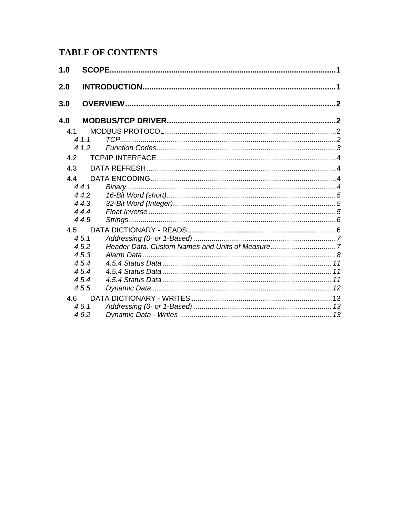### **TABLE OF CONTENTS**

| 1.0 |       |                                                 |  |
|-----|-------|-------------------------------------------------|--|
| 2.0 |       |                                                 |  |
| 3.0 |       |                                                 |  |
| 4.0 |       |                                                 |  |
| 4.1 |       |                                                 |  |
|     | 4.1.1 |                                                 |  |
|     | 4.1.2 |                                                 |  |
| 4.2 |       |                                                 |  |
| 4.3 |       |                                                 |  |
| 4.4 |       |                                                 |  |
|     | 4.4.1 |                                                 |  |
|     | 4.4.2 |                                                 |  |
|     | 4.4.3 |                                                 |  |
|     | 4.4.4 |                                                 |  |
|     | 4.4.5 |                                                 |  |
| 4.5 |       |                                                 |  |
|     | 4.5.1 |                                                 |  |
|     | 4.5.2 | Header Data, Custom Names and Units of Measure7 |  |
|     | 4.5.3 |                                                 |  |
|     | 4.5.4 |                                                 |  |
|     | 4.5.4 |                                                 |  |
|     | 4.5.4 |                                                 |  |
|     | 4.5.5 |                                                 |  |
| 4.6 |       |                                                 |  |
|     | 4.6.1 |                                                 |  |
|     | 4.6.2 |                                                 |  |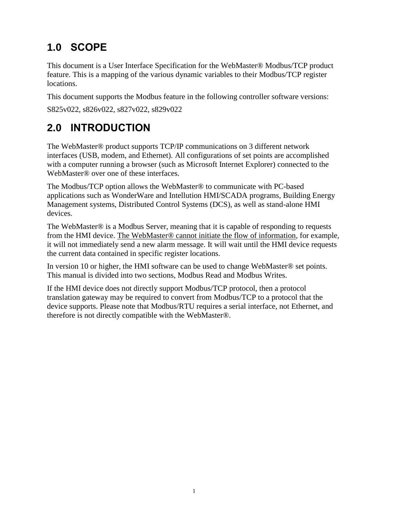## <span id="page-3-0"></span>**1.0 SCOPE**

This document is a User Interface Specification for the WebMaster® Modbus/TCP product feature. This is a mapping of the various dynamic variables to their Modbus/TCP register locations.

This document supports the Modbus feature in the following controller software versions:

S825v022, s826v022, s827v022, s829v022

## <span id="page-3-1"></span>**2.0 INTRODUCTION**

The WebMaster® product supports TCP/IP communications on 3 different network interfaces (USB, modem, and Ethernet). All configurations of set points are accomplished with a computer running a browser (such as Microsoft Internet Explorer) connected to the WebMaster® over one of these interfaces.

The Modbus/TCP option allows the WebMaster® to communicate with PC-based applications such as WonderWare and Intellution HMI/SCADA programs, Building Energy Management systems, Distributed Control Systems (DCS), as well as stand-alone HMI devices.

The WebMaster® is a Modbus Server, meaning that it is capable of responding to requests from the HMI device. The WebMaster® cannot initiate the flow of information, for example, it will not immediately send a new alarm message. It will wait until the HMI device requests the current data contained in specific register locations.

In version 10 or higher, the HMI software can be used to change WebMaster<sup>®</sup> set points. This manual is divided into two sections, Modbus Read and Modbus Writes.

If the HMI device does not directly support Modbus/TCP protocol, then a protocol translation gateway may be required to convert from Modbus/TCP to a protocol that the device supports. Please note that Modbus/RTU requires a serial interface, not Ethernet, and therefore is not directly compatible with the WebMaster®.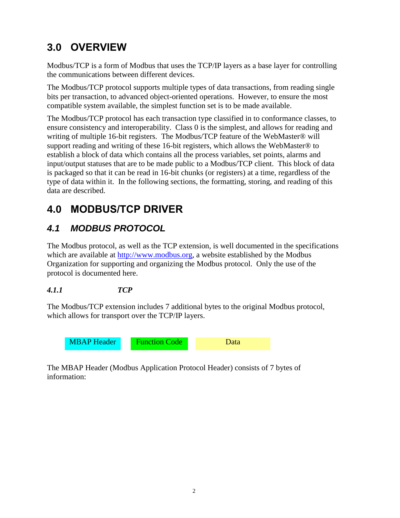## <span id="page-4-0"></span>**3.0 OVERVIEW**

Modbus/TCP is a form of Modbus that uses the TCP/IP layers as a base layer for controlling the communications between different devices.

The Modbus/TCP protocol supports multiple types of data transactions, from reading single bits per transaction, to advanced object-oriented operations. However, to ensure the most compatible system available, the simplest function set is to be made available.

The Modbus/TCP protocol has each transaction type classified in to conformance classes, to ensure consistency and interoperability. Class 0 is the simplest, and allows for reading and writing of multiple 16-bit registers. The Modbus/TCP feature of the WebMaster® will support reading and writing of these 16-bit registers, which allows the WebMaster® to establish a block of data which contains all the process variables, set points, alarms and input/output statuses that are to be made public to a Modbus/TCP client. This block of data is packaged so that it can be read in 16-bit chunks (or registers) at a time, regardless of the type of data within it. In the following sections, the formatting, storing, and reading of this data are described.

## <span id="page-4-1"></span>**4.0 MODBUS/TCP DRIVER**

## <span id="page-4-2"></span>*4.1 MODBUS PROTOCOL*

The Modbus protocol, as well as the TCP extension, is well documented in the specifications which are available at [http://www.modbus.org,](http://www.modbus.org/) a website established by the Modbus Organization for supporting and organizing the Modbus protocol. Only the use of the protocol is documented here.

#### <span id="page-4-3"></span>*4.1.1 TCP*

The Modbus/TCP extension includes 7 additional bytes to the original Modbus protocol, which allows for transport over the TCP/IP layers.



The MBAP Header (Modbus Application Protocol Header) consists of 7 bytes of information: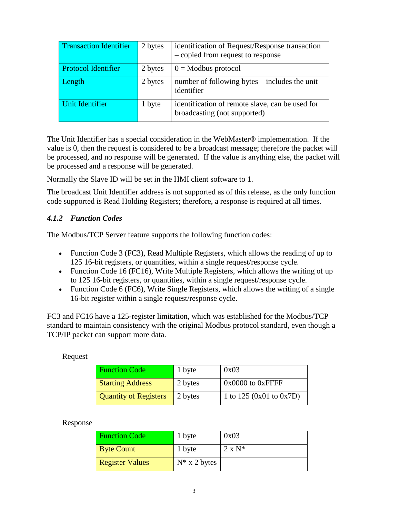| <b>Transaction Identifier</b> | 2 bytes | identification of Request/Response transaction<br>- copied from request to response |
|-------------------------------|---------|-------------------------------------------------------------------------------------|
| <b>Protocol Identifier</b>    | 2 bytes | $0 =$ Modbus protocol                                                               |
| Length                        | 2 bytes | number of following bytes – includes the unit<br>identifier                         |
| Unit Identifier               | 1 byte  | identification of remote slave, can be used for<br>broadcasting (not supported)     |

The Unit Identifier has a special consideration in the WebMaster® implementation. If the value is 0, then the request is considered to be a broadcast message; therefore the packet will be processed, and no response will be generated. If the value is anything else, the packet will be processed and a response will be generated.

Normally the Slave ID will be set in the HMI client software to 1.

The broadcast Unit Identifier address is not supported as of this release, as the only function code supported is Read Holding Registers; therefore, a response is required at all times.

#### <span id="page-5-0"></span>*4.1.2 Function Codes*

The Modbus/TCP Server feature supports the following function codes:

- Function Code 3 (FC3), Read Multiple Registers, which allows the reading of up to 125 16-bit registers, or quantities, within a single request/response cycle.
- Function Code 16 (FC16), Write Multiple Registers, which allows the writing of up to 125 16-bit registers, or quantities, within a single request/response cycle.
- Function Code 6 (FC6), Write Single Registers, which allows the writing of a single 16-bit register within a single request/response cycle.

FC3 and FC16 have a 125-register limitation, which was established for the Modbus/TCP standard to maintain consistency with the original Modbus protocol standard, even though a TCP/IP packet can support more data.

#### Request

| <b>Function Code</b>         | 1 byte  | 0x03                        |
|------------------------------|---------|-----------------------------|
| <b>Starting Address</b>      | 2 bytes | $0x0000$ to $0x$ FFFF       |
| <b>Quantity of Registers</b> | 2 bytes | 1 to $125 (0x01)$ to $0x7D$ |

#### Response

| <b>Function Code</b>   | 1 byte          | 0x03           |
|------------------------|-----------------|----------------|
| <b>Byte Count</b>      | 1 byte          | $2 \times N^*$ |
| <b>Register Values</b> | $N^*$ x 2 bytes |                |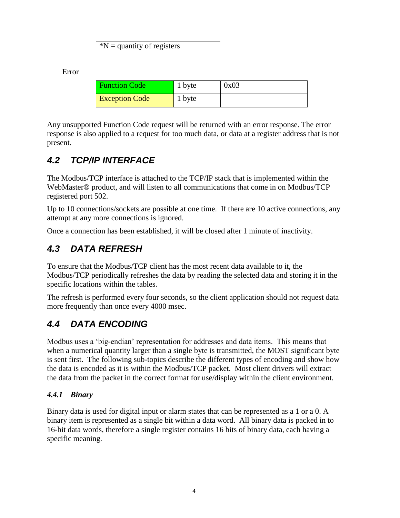$*N =$  quantity of registers

Error

| <b>Function Code</b>  | 1 byte | 0x03 |
|-----------------------|--------|------|
| <b>Exception Code</b> | 1 byte |      |

Any unsupported Function Code request will be returned with an error response. The error response is also applied to a request for too much data, or data at a register address that is not present.

## <span id="page-6-0"></span>*4.2 TCP/IP INTERFACE*

The Modbus/TCP interface is attached to the TCP/IP stack that is implemented within the WebMaster® product, and will listen to all communications that come in on Modbus/TCP registered port 502.

Up to 10 connections/sockets are possible at one time. If there are 10 active connections, any attempt at any more connections is ignored.

Once a connection has been established, it will be closed after 1 minute of inactivity.

## <span id="page-6-1"></span>*4.3 DATA REFRESH*

To ensure that the Modbus/TCP client has the most recent data available to it, the Modbus/TCP periodically refreshes the data by reading the selected data and storing it in the specific locations within the tables.

The refresh is performed every four seconds, so the client application should not request data more frequently than once every 4000 msec.

## <span id="page-6-2"></span>*4.4 DATA ENCODING*

Modbus uses a 'big-endian' representation for addresses and data items. This means that when a numerical quantity larger than a single byte is transmitted, the MOST significant byte is sent first. The following sub-topics describe the different types of encoding and show how the data is encoded as it is within the Modbus/TCP packet. Most client drivers will extract the data from the packet in the correct format for use/display within the client environment.

#### <span id="page-6-3"></span>*4.4.1 Binary*

Binary data is used for digital input or alarm states that can be represented as a 1 or a 0. A binary item is represented as a single bit within a data word. All binary data is packed in to 16-bit data words, therefore a single register contains 16 bits of binary data, each having a specific meaning.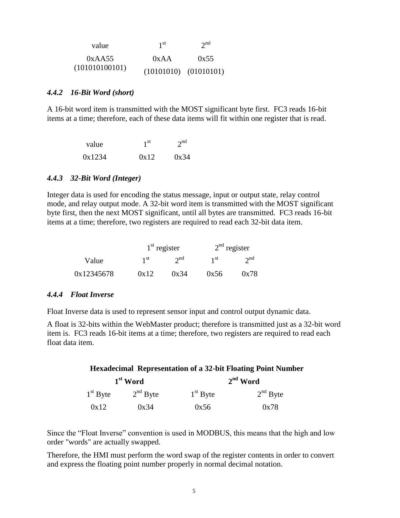| value          | 1 <sup>st</sup>           | $2^{nd}$ |
|----------------|---------------------------|----------|
| 0xAA55         | 0xAA                      | 0x55     |
| (101010100101) | $(10101010)$ $(01010101)$ |          |

#### <span id="page-7-0"></span>*4.4.2 16-Bit Word (short)*

A 16-bit word item is transmitted with the MOST significant byte first. FC3 reads 16-bit items at a time; therefore, each of these data items will fit within one register that is read.

| value  | 1 <sup>st</sup> | 2 <sup>nd</sup> |  |
|--------|-----------------|-----------------|--|
| 0x1234 | 0x12            | 0x34            |  |

#### <span id="page-7-1"></span>*4.4.3 32-Bit Word (Integer)*

Integer data is used for encoding the status message, input or output state, relay control mode, and relay output mode. A 32-bit word item is transmitted with the MOST significant byte first, then the next MOST significant, until all bytes are transmitted. FC3 reads 16-bit items at a time; therefore, two registers are required to read each 32-bit data item.

|            |                 | $1st$ register | $2nd$ register  |          |  |
|------------|-----------------|----------------|-----------------|----------|--|
| Value      | 1 <sup>st</sup> | $2^{nd}$       | 1 <sup>st</sup> | $2^{nd}$ |  |
| 0x12345678 | 0x12            | 0x34           | 0x56            | 0x78     |  |

#### <span id="page-7-2"></span>*4.4.4 Float Inverse*

Float Inverse data is used to represent sensor input and control output dynamic data.

A float is 32-bits within the WebMaster product; therefore is transmitted just as a 32-bit word item is. FC3 reads 16-bit items at a time; therefore, two registers are required to read each float data item.

| <b>Hexadecimal Representation of a 32-bit Floating Point Number</b> |                      |            |            |  |  |  |  |
|---------------------------------------------------------------------|----------------------|------------|------------|--|--|--|--|
|                                                                     | 1 <sup>st</sup> Word |            | $2nd$ Word |  |  |  |  |
| $1st$ Byte                                                          | $2nd$ Byte           | $1st$ Byte | $2nd$ Byte |  |  |  |  |
| 0x12                                                                | 0x34                 | 0x56       | 0x78       |  |  |  |  |

Since the "Float Inverse" convention is used in MODBUS, this means that the high and low order "words" are actually swapped.

Therefore, the HMI must perform the word swap of the register contents in order to convert and express the floating point number properly in normal decimal notation.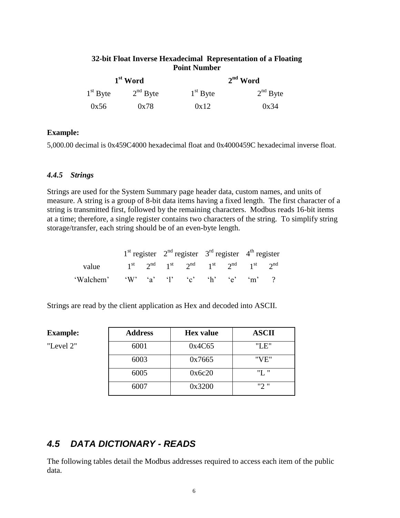#### **32-bit Float Inverse Hexadecimal Representation of a Floating Point Number**

|            | $1st$ Word |            | $2nd$ Word |  |  |
|------------|------------|------------|------------|--|--|
| $1st$ Byte | $2nd$ Byte | $1st$ Byte | $2nd$ Byte |  |  |
| 0x56       | 0x78       | 0x12       | 0x34       |  |  |

#### **Example:**

5,000.00 decimal is 0x459C4000 hexadecimal float and 0x4000459C hexadecimal inverse float.

#### <span id="page-8-0"></span>*4.4.5 Strings*

Strings are used for the System Summary page header data, custom names, and units of measure. A string is a group of 8-bit data items having a fixed length. The first character of a string is transmitted first, followed by the remaining characters. Modbus reads 16-bit items at a time; therefore, a single register contains two characters of the string. To simplify string storage/transfer, each string should be of an even-byte length.

|                                                                               |  | $1st$ register $2nd$ register $3rd$ register $4th$ register |  |  |
|-------------------------------------------------------------------------------|--|-------------------------------------------------------------|--|--|
| value $1^{st}$ $2^{nd}$ $1^{st}$ $2^{nd}$ $1^{st}$ $2^{nd}$ $1^{st}$ $2^{nd}$ |  |                                                             |  |  |
| 'Walchem' 'W' 'a' 'l' 'c' 'h' 'e' 'm' ?                                       |  |                                                             |  |  |

Strings are read by the client application as Hex and decoded into ASCII.

| <b>Example:</b> | <b>Address</b> | <b>Hex</b> value | <b>ASCII</b> |
|-----------------|----------------|------------------|--------------|
| "Level 2"       | 6001           | 0x4C65           | "LE"         |
|                 | 6003           | 0x7665           | "VE"         |
|                 | 6005           | 0x6c20           | "L "         |
|                 | 6007           | 0x3200           | "2"          |

#### <span id="page-8-1"></span>*4.5 DATA DICTIONARY - READS*

The following tables detail the Modbus addresses required to access each item of the public data.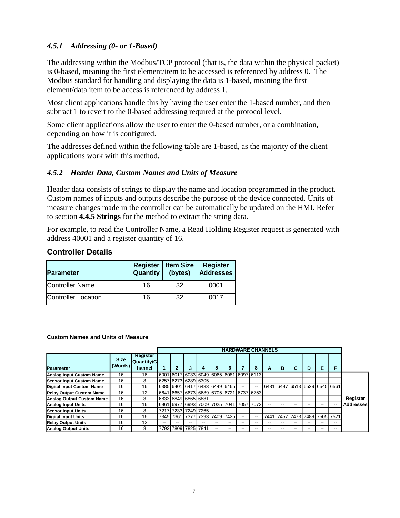#### <span id="page-9-0"></span>*4.5.1 Addressing (0- or 1-Based)*

The addressing within the Modbus/TCP protocol (that is, the data within the physical packet) is 0-based, meaning the first element/item to be accessed is referenced by address 0. The Modbus standard for handling and displaying the data is 1-based, meaning the first element/data item to be access is referenced by address 1.

Most client applications handle this by having the user enter the 1-based number, and then subtract 1 to revert to the 0-based addressing required at the protocol level.

Some client applications allow the user to enter the 0-based number, or a combination, depending on how it is configured.

The addresses defined within the following table are 1-based, as the majority of the client applications work with this method.

#### <span id="page-9-1"></span>*4.5.2 Header Data, Custom Names and Units of Measure*

Header data consists of strings to display the name and location programmed in the product. Custom names of inputs and outputs describe the purpose of the device connected. Units of measure changes made in the controller can be automatically be updated on the HMI. Refer to section **[4.4.5](#page-8-0) [Strings](#page-8-0)** for the method to extract the string data.

For example, to read the Controller Name, a Read Holding Register request is generated with address 40001 and a register quantity of 16.

#### **Controller Details**

| <b>Parameter</b>           | <b>Register</b><br>Quantity | <b>Item Size</b><br>(bytes) | <b>Register</b><br><b>Addresses</b> |
|----------------------------|-----------------------------|-----------------------------|-------------------------------------|
| <b>Controller Name</b>     | 16                          | 32                          | 0001                                |
| <b>Controller Location</b> | 16                          | 32                          | 0017                                |

#### **Custom Names and Units of Measure**

|                                  |                        |                                         |                               |   |    |           |           |       | <b>HARDWARE CHANNELS</b> |       |      |                           |    |    |    |                  |
|----------------------------------|------------------------|-----------------------------------------|-------------------------------|---|----|-----------|-----------|-------|--------------------------|-------|------|---------------------------|----|----|----|------------------|
| <b>Parameter</b>                 | <b>Size</b><br>(Words) | Register<br><b>Quantity/C</b><br>hannel | $\overline{2}$                | 3 | 4  | 5         | 6         |       | 8                        | A     | в    | C                         | D  | Е  | F  |                  |
| <b>Analog Input Custom Name</b>  | 16                     | 16                                      | 6001 6017 6033 6049 6065 6081 |   |    |           |           |       | 6097 6113                | --    | --   | --                        | -- | -- | -- |                  |
| <b>Sensor Input Custom Name</b>  | 16                     | 8                                       | 6257 6273 6289 6305           |   |    | $- -$     | $- -$     | $-$   | $- -$                    |       |      | --                        |    | -- | -- |                  |
| <b>Digital Input Custom Name</b> | 16                     | 16                                      | 6385 6401 6417 6433 6449 6465 |   |    |           |           | $- -$ | $-$                      | 6481  | 6497 | 6513   6529   6545   6561 |    |    |    |                  |
| <b>Relay Output Custom Name</b>  | 16                     | 12                                      | 6641 6657 6673 6689 6705 6721 |   |    |           |           |       | 6737 6753                | $- -$ |      | --                        |    | -- | -- |                  |
| Analog Output Custom Name        | 16                     | 8                                       | 6833 6849 6865 6881           |   |    | $- -$     | $- -$     |       | $-$                      | $- -$ | --   | $- -$                     | -- | -- | -- | Register         |
| <b>Analog Input Units</b>        | 16                     | 16                                      | 6961 6977 6993 7009           |   |    | 7025 7041 |           | 7057  | 7073                     | $- -$ | --   | $- -$                     | -- | -- | -- | <b>Addresses</b> |
| <b>Sensor Input Units</b>        | 16                     | 8                                       | 7217 7233 7249 7265           |   |    | $- -$     | $-$       |       | $-$                      |       |      |                           |    | -- | -- |                  |
| <b>Digital Input Units</b>       | 16                     | 16                                      | 7345 7361 7377 7393           |   |    |           | 7409 7425 |       | $-$                      | 7441  |      | 7457 7473 7489 7505 7521  |    |    |    |                  |
| <b>Relay Output Units</b>        | 16                     | 12                                      |                               |   | -- |           |           |       |                          |       |      |                           |    |    | -- |                  |
| <b>Analog Output Units</b>       | 16                     | 8                                       | 7793 7809 7825 7841           |   |    | --        | --        |       |                          | --    |      | --                        | -- | -- | -- |                  |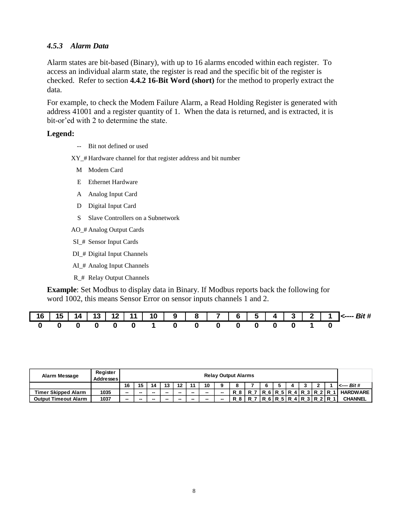#### <span id="page-10-0"></span>*4.5.3 Alarm Data*

Alarm states are bit-based (Binary), with up to 16 alarms encoded within each register. To access an individual alarm state, the register is read and the specific bit of the register is checked. Refer to section **[4.4.2](#page-7-0) [16-Bit Word \(short\)](#page-7-0)** for the method to properly extract the data.

For example, to check the Modem Failure Alarm, a Read Holding Register is generated with address 41001 and a register quantity of 1. When the data is returned, and is extracted, it is bit-or'ed with 2 to determine the state.

#### **Legend:**

*--* Bit not defined or used

XY\_# Hardware channel for that register address and bit number

- M Modem Card
- E Ethernet Hardware
- A Analog Input Card
- D Digital Input Card
- S Slave Controllers on a Subnetwork
- AO\_# Analog Output Cards
- SI\_# Sensor Input Cards
- DI\_# Digital Input Channels
- AI\_# Analog Input Channels
- R\_# Relay Output Channels

**Example**: Set Modbus to display data in Binary. If Modbus reports back the following for word 1002, this means Sensor Error on sensor inputs channels 1 and 2.

| 16 | 15<br>IJ | 14. |  | -11 | 10 | 9 | 8 | $\mathbf{z}$ | 6. | $5 -$ | $\mathbf{A}$ | 3   2 | л | $\mathsf{I}$ $\epsilon$ ---- Rit # |
|----|----------|-----|--|-----|----|---|---|--------------|----|-------|--------------|-------|---|------------------------------------|
|    |          |     |  |     |    |   |   |              |    |       |              |       |   |                                    |

| Alarm Message               | Register<br><b>Addresses</b> |    |    |    |    |    |                          |    |    | <b>Relay Output Alarms</b> |  |                       |  |             |                    |
|-----------------------------|------------------------------|----|----|----|----|----|--------------------------|----|----|----------------------------|--|-----------------------|--|-------------|--------------------|
|                             |                              | 16 | 15 | 14 | 13 | 49 | 44                       | 10 | o  | ິ                          |  |                       |  |             | $\leftarrow$ Bit # |
| <b>Timer Skipped Alarm</b>  | 1035                         | -- | -- | -- | -- | -- | $\overline{\phantom{a}}$ | -  | -- |                            |  | R 6 R 5 R 4 R 3 R 2 R |  |             | <b>HARDWARE</b>    |
| <b>Output Timeout Alarm</b> | 1037                         | -- | -- | -- | -  | -- | --                       | -  | -- |                            |  | 6 R 5 R               |  | 4 R 3 R 2 R | <b>CHANNEL</b>     |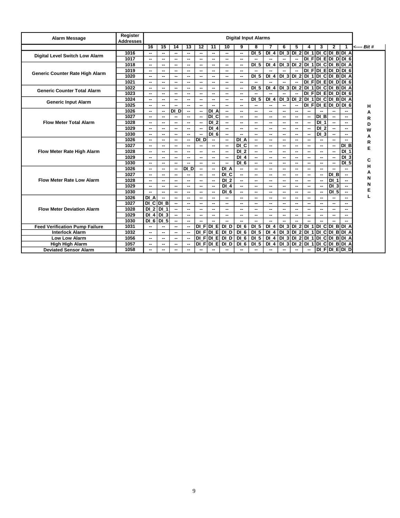| <b>Alarm Message</b>                  | Register<br><b>Addresses</b> |                 |                          |                          |                 |                              |                   |                          | <b>Digital Input Alarms</b> |                          |                          |                          |                          |        |                               |                          |                            |             |
|---------------------------------------|------------------------------|-----------------|--------------------------|--------------------------|-----------------|------------------------------|-------------------|--------------------------|-----------------------------|--------------------------|--------------------------|--------------------------|--------------------------|--------|-------------------------------|--------------------------|----------------------------|-------------|
|                                       |                              | 16              | 15                       | 14                       | $\overline{13}$ | $\overline{12}$              | $\overline{11}$   | 10                       | 9                           | 8                        |                          | 6                        | 5                        | 4      | 3                             | $\mathbf{2}$             |                            | <---- Bit # |
|                                       | 1016                         | --              | --                       | --                       | --              | --                           | --                | ۰.                       | --                          | DI <sub>5</sub>          | $DI_4$                   |                          |                          |        | DI 3 DI 2 DI 1 DI C DI B DI A |                          |                            |             |
| Digital Level Switch Low Alarm        | 1017                         | --              | --                       | --                       | --              | --                           | --                | ۰.                       | $\overline{\phantom{a}}$    | ц.                       |                          |                          | Ξ.                       |        | $DI$ F $DI$ E $DI$ D $DI$ 6   |                          |                            |             |
|                                       | 1018                         | --              | --                       | --                       | --              | --                           | --                | ۰.                       | $\overline{\phantom{a}}$    | DI <sub>5</sub>          | DI <sub>4</sub>          |                          | $DI_3$ DI 2              |        | DI 1 DI C DI B DI A           |                          |                            |             |
|                                       | 1019                         | --              | --                       | --                       | --              | --                           | --                | --                       | $\overline{\phantom{a}}$    | --                       | --                       | $\overline{\phantom{a}}$ | ц,                       |        | $DI$ F $DI$ E $DI$ D $DI$ 6   |                          |                            |             |
| Generic Counter Rate High Alarm       | 1020                         | --              | --                       | --                       | --              | --                           | --                | --                       | $\overline{\phantom{a}}$    | DI <sub>5</sub>          | DI <sub>4</sub>          |                          | $DI$ 3 $DI$ 2            |        | $DI$ 1 DI C DI B DI A         |                          |                            |             |
|                                       | 1021                         | --              | --                       | --                       | --              | $\overline{\phantom{a}}$     | --                | ۰.                       | $\overline{\phantom{a}}$    |                          |                          | --                       | --                       | DI FI  | $DI$ $E$ $DI$ $D$ $D$ $6$     |                          |                            |             |
| <b>Generic Counter Total Alarm</b>    | 1022                         | --              | --                       | --                       | ⊷               | $\overline{\phantom{a}}$     | --                | ۰.                       | $\overline{\phantom{a}}$    | DI <sub>5</sub>          | DI <sub>4</sub>          | DI <sub>3</sub>          | DI <sub>2</sub>          |        | DI 1 DI C DI B DI A           |                          |                            |             |
|                                       | 1023                         | --              | --                       | --                       | --              | --                           | --                | --                       | --                          |                          |                          | --                       | --                       |        | DIFIDIE DIDIGI                |                          |                            |             |
|                                       | 1024                         | --              | --                       | --                       | --              | ۰.                           | --                | --                       | --                          | DI <sub>5</sub>          | DI 4                     | DI <sub>3</sub>          | DI <sub>2</sub>          |        | DI 1 DI C DI B DI A           |                          |                            |             |
| <b>Generic Input Alarm</b>            | 1025                         | --              | --                       |                          | --              | --                           | --                | --                       | --                          | --                       | $\overline{\phantom{a}}$ | --                       | --                       | DI F   | DI EDI D                      |                          | DI <sub>6</sub>            | н           |
|                                       | 1026                         | --              | --                       | DI D                     | --              | --                           | DI A              | --                       | --                          | --                       | $\overline{\phantom{a}}$ | --                       | --                       | --     |                               |                          |                            | Α           |
|                                       | 1027                         | --              | --                       | ⊷                        | ⊷               | ۰.                           | DI C              | ۰.                       | $\overline{\phantom{a}}$    | ۰.                       | $\sim$                   | --                       | --                       | н.     | DI B                          | $\overline{\phantom{a}}$ |                            | R           |
| <b>Flow Meter Total Alarm</b>         | 1028                         | --              | $\sim$                   | --                       | --              | $\sim$                       | $\overline{DI}$ 2 | $\overline{a}$           | --                          | $\sim$                   | $\sim$                   | --                       | $\overline{\phantom{a}}$ | н.     | DI <sub>1</sub>               | $\overline{\phantom{a}}$ |                            | D           |
|                                       | 1029                         | --              | --                       | --                       | ⊷               | ۰.                           | DI <sub>4</sub>   | $\sim$                   | $\sim$                      | $\overline{\phantom{a}}$ | $\overline{\phantom{a}}$ | --                       | --                       | Ξ.     | DI <sub>2</sub>               | $\overline{\phantom{a}}$ | --                         | W           |
|                                       | 1030                         | --              | --                       | --                       | --              |                              | $\overline{DI}$ 6 | $\sim$                   | --                          | --                       | $\overline{\phantom{a}}$ | --                       | --                       | -−     | DI <sub>3</sub>               | $\overline{\phantom{a}}$ |                            | А           |
|                                       | 1026                         | --              | --                       | --                       | --              | $\overline{D}$               | $\overline{a}$    | $\overline{\phantom{a}}$ | $\overline{DI}$ A           | $\overline{\phantom{a}}$ | $\sim$                   | --                       | $\sim$                   | --     | --                            | $\overline{\phantom{a}}$ |                            | R           |
|                                       | 1027                         | --              | --                       | --                       | --              | ۰.                           | --                | $\overline{\phantom{a}}$ | $\overline{DI}$ C           | $\overline{\phantom{a}}$ | $\overline{\phantom{a}}$ | --                       | $\overline{\phantom{a}}$ | ۰.     | ۰.                            | $\overline{\phantom{a}}$ | DI B                       |             |
| Flow Meter Rate High Alarm            | 1028                         | --              | --                       | --                       | --              | ۰.                           | --                | $\sim$                   | $\overline{D}$ 2            | $\overline{\phantom{a}}$ | $\overline{\phantom{a}}$ | --                       | --                       | ۰.     | --                            | $\overline{\phantom{a}}$ | DI <sub>1</sub>            |             |
|                                       | 1029                         | --              | $\overline{\phantom{a}}$ | ۰.                       | ⊷               | ۰.                           | --                | $\sim$                   | DI <sub>4</sub>             | $\overline{\phantom{a}}$ | $\sim$                   | $\overline{\phantom{a}}$ | $\overline{\phantom{a}}$ | ۰.     | ۰.                            | $\overline{\phantom{a}}$ | DI <sub>3</sub>            | С           |
|                                       | 1030                         | --              | --                       | --                       | $\overline{a}$  | $\overline{a}$               | Ξ.                | ÷.                       | DI <sub>6</sub>             | $\overline{\phantom{a}}$ | $\overline{\phantom{a}}$ | --                       | $\overline{\phantom{a}}$ | -−     | --                            | $\overline{\phantom{a}}$ | DI <sub>5</sub>            |             |
|                                       | 1026                         | --              | $\overline{\phantom{a}}$ | --                       | DI D            | $\overline{a}$               | $\overline{a}$    | $\overline{DI}$ A        | $\overline{\phantom{a}}$    | $\overline{\phantom{a}}$ | $\sim$                   | $\overline{\phantom{a}}$ | $\overline{\phantom{a}}$ | --     | --                            |                          |                            | н           |
|                                       | 1027                         | --              | --                       | ⊷                        | --              | --                           | Ξ.                | $\overline{D}$ C         | $\overline{\phantom{a}}$    | -−                       | $\overline{\phantom{a}}$ | $\overline{\phantom{a}}$ | --                       | н.     | --                            | DI B                     | ⊷                          | Α           |
| <b>Flow Meter Rate Low Alarm</b>      | 1028                         | --              | --                       | --                       | -−              | --                           | Ξ.                | DI <sub>2</sub>          | $\overline{\phantom{a}}$    | $\overline{\phantom{a}}$ | $\overline{\phantom{a}}$ | $\overline{\phantom{a}}$ | --                       | н.     | ۰.                            | $\overline{D}$ 1         | $\sim$                     | N           |
|                                       | 1029                         | Ξ.              | $\overline{a}$           | --                       | --              | --                           | μ.                | $DI$ 4                   | $\overline{\phantom{a}}$    | $\overline{a}$           | $\overline{\phantom{a}}$ | --                       | ۰.                       | --     | ä,                            | DI <sub>3</sub>          | --                         | N           |
|                                       | 1030                         | --              | $\overline{\phantom{a}}$ | --                       | --              | --                           | --                | DI <sub>6</sub>          | --                          | $\overline{\phantom{a}}$ | $\overline{\phantom{a}}$ | --                       | --                       | -−     | н,                            | DI <sub>5</sub>          | --                         | E           |
|                                       | 1026                         | DI A            | --                       | --                       | --              | --                           | --                | ۰.                       | --                          | $\overline{\phantom{a}}$ | $\overline{\phantom{a}}$ | --                       | --                       | ۰.     | ۰.                            | $\overline{\phantom{a}}$ | $\overline{\phantom{a}}$   |             |
|                                       | 1027                         | $DI$ C $DI$ B   |                          | --                       | --              | ۰.                           | --                | --                       | $\overline{\phantom{a}}$    | $\overline{\phantom{a}}$ | $\overline{\phantom{a}}$ | --                       | --                       | ۰.     | ۰.                            | --                       | --                         |             |
| <b>Flow Meter Deviation Alarm</b>     | 1028                         | DI <sub>2</sub> | $\overline{D}$<br>-1     | --                       | --              | ۰.                           | --                | ۰.                       | --                          | $\overline{\phantom{a}}$ | $\overline{\phantom{a}}$ | --                       | --                       | ۰.     | ۰.                            | --                       | ⊷                          |             |
|                                       | 1029                         | DI <sub>4</sub> | $DI$ 3                   | $\overline{\phantom{a}}$ | ⊷               | $\overline{\phantom{a}}$     | --                | ۰.                       | $\overline{\phantom{a}}$    | $\sim$                   | $\sim$                   | $\overline{\phantom{a}}$ | --                       | ۰.     | ۰.                            | $\sim$                   | ⊷                          |             |
|                                       | 1030                         | DI <sub>6</sub> | DI <sub>5</sub>          | ۰.                       | ⊷               | ۰.                           | --                | --                       | --                          | --                       | $\sim$                   | −−                       | ۰.                       | --     |                               |                          |                            |             |
| <b>Feed Verification Pump Failure</b> | 1031                         | --              | --                       | ⊷                        | --              | DI F                         | <b>DI</b><br>Е    | DI D                     | DI <sub>6</sub>             | DI 5                     | DI <sub>4</sub>          |                          | $DI$ 3 DI 2 DI 1         |        | DI CDI BDI A                  |                          |                            |             |
| <b>Interlock Alarm</b>                | 1032                         | --              | --                       | --                       | --              | $\overline{\mathsf{d}}$<br>F | ō<br>El           | DI D                     | DI <sub>6</sub>             | <b>DI 5</b>              | DI <sub>4</sub>          |                          |                          |        | DI 3 DI 2 DI 1 DI C DI B DI A |                          |                            |             |
| <b>Low Low Alarm</b>                  | 1056                         | --              | --                       | --                       | --              | $\overline{D}$<br>F          |                   | DIE DID                  | DI <sub>6</sub>             | DI <sub>5</sub>          | $DI$ 4                   |                          | $DI$ 3 $DI$ 2 $DI$       |        | $1$ DICDIBDIA                 |                          |                            |             |
| <b>High High Alarm</b>                | 1057                         | --              | --                       | --                       | --              | DI F                         | DI E              | DI D                     | DI <sub>6</sub>             | DI <sub>5</sub>          | $DI$ 4                   | DI <sub>3</sub>          | DI <sub>2</sub>          | $DI$ 1 | DI CDI BDI A                  |                          |                            |             |
| <b>Deviated Sensor Alarm</b>          | 1058                         | --              | --                       | $\overline{\phantom{a}}$ | --              | --                           | --                | --                       | $\sim$                      | $\sim$                   | $\overline{\phantom{a}}$ | --                       | $\overline{\phantom{a}}$ | −−     |                               |                          | $DI$ $F$ $DI$ $E$ $DI$ $D$ |             |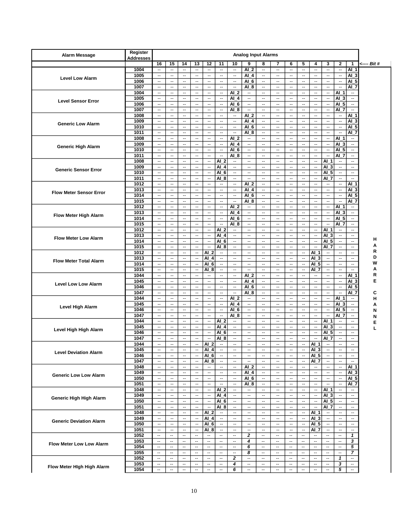| <b>Alarm Message</b>            | Register<br><b>Addresses</b> |                                                      |                                                      |                                                      |                                                      |                                                      |                                                      |                                                      | <b>Analog Input Alarms</b>                           |                                                      |                                                      |                                                      |                                            |                                                      |                                                      |                                |                                |             |
|---------------------------------|------------------------------|------------------------------------------------------|------------------------------------------------------|------------------------------------------------------|------------------------------------------------------|------------------------------------------------------|------------------------------------------------------|------------------------------------------------------|------------------------------------------------------|------------------------------------------------------|------------------------------------------------------|------------------------------------------------------|--------------------------------------------|------------------------------------------------------|------------------------------------------------------|--------------------------------|--------------------------------|-------------|
|                                 |                              | 16                                                   | 15                                                   | 14                                                   | 13                                                   | 12                                                   | 11                                                   | 10                                                   | 9                                                    | 8                                                    | 7                                                    | 6                                                    | 5                                          | 4                                                    | 3                                                    | $\mathbf{2}$                   | $\mathbf{1}$                   | <---- Bit # |
|                                 | 1004                         | $\overline{\phantom{a}}$                             | $\overline{\phantom{a}}$                             | $\overline{\phantom{a}}$                             | $\overline{\phantom{a}}$                             | $\overline{\phantom{a}}$                             | $\overline{\phantom{a}}$                             | $\overline{\phantom{a}}$                             | AI 2                                                 | --                                                   | $\overline{\phantom{a}}$                             | $\overline{\phantom{a}}$                             | $\overline{\phantom{a}}$                   | $\overline{\phantom{a}}$                             | $\overline{\phantom{a}}$                             | --                             | AI 1                           |             |
|                                 | 1005                         | $\overline{\phantom{a}}$                             | $\overline{a}$                                       | $\overline{\phantom{a}}$                             | $\overline{\phantom{a}}$                             | $\overline{\phantom{a}}$                             | $\overline{\phantom{a}}$                             | $\overline{\phantom{a}}$                             | AI 4                                                 | $\overline{\phantom{a}}$                             | $\overline{\phantom{a}}$                             | $\overline{\phantom{a}}$                             | $\overline{\phantom{a}}$                   | $\overline{\phantom{a}}$                             | Ξ.                                                   | $\overline{\phantom{a}}$       | AI 3                           |             |
| <b>Level Low Alarm</b>          | 1006                         | $\overline{\phantom{a}}$                             | $\sim$                                               | $\overline{\phantom{a}}$                             | $\sim$ $\sim$                                        | $\sim$                                               | $\overline{\phantom{a}}$                             | $\mathbf{L}$                                         | AI 6                                                 | $\overline{\phantom{a}}$                             | $\sim$                                               | $\sim$                                               | $\overline{\phantom{a}}$                   | $\overline{\phantom{a}}$                             | $\overline{\phantom{a}}$                             | --                             | Al_<br>5                       |             |
|                                 | 1007                         | $\overline{\phantom{a}}$                             | $\overline{a}$                                       | $\overline{\phantom{a}}$                             | $\overline{\phantom{a}}$                             | $\overline{\phantom{a}}$                             | $\overline{\phantom{a}}$                             | $\overline{\phantom{a}}$                             | $AI_8$                                               | $\overline{\phantom{a}}$                             | $\mathbf{L}$                                         | $\overline{\phantom{a}}$                             | $\overline{\phantom{a}}$                   | $\overline{\phantom{a}}$                             | $\mathbb{L}$                                         | $\overline{\phantom{a}}$       | Al_7                           |             |
|                                 | 1004                         | $\overline{a}$                                       | $\overline{\phantom{a}}$                             | $\overline{\phantom{a}}$                             | $\sim$ $\sim$                                        | $\overline{a}$                                       | $\overline{a}$                                       | $AI_2$                                               | $\overline{\phantom{a}}$                             | $\overline{\phantom{a}}$                             | $\overline{a}$                                       | $\sim$                                               | $\overline{\phantom{a}}$                   | $\overline{a}$                                       | $\overline{\phantom{a}}$                             | AI 1                           | $\overline{\phantom{a}}$       |             |
| <b>Level Sensor Error</b>       | 1005                         | $\overline{\phantom{a}}$                             | $\overline{\phantom{a}}$                             | $\overline{\phantom{a}}$                             | $\overline{\phantom{a}}$                             | $\overline{\phantom{a}}$                             | $\overline{\phantom{a}}$                             | AI 4                                                 | $\overline{\phantom{a}}$                             | $\overline{\phantom{a}}$                             | $\mathbf{L}$                                         | $\overline{\phantom{a}}$                             | Ξ.                                         | $\overline{\phantom{a}}$                             | Щ,                                                   | Al_3                           |                                |             |
|                                 | 1006                         | $\overline{\phantom{a}}$                             | $\overline{\phantom{a}}$                             | $\overline{\phantom{a}}$                             | --                                                   | $\overline{\phantom{a}}$                             | $\overline{\phantom{a}}$                             | Al_6                                                 | $\overline{\phantom{a}}$                             | $\overline{\phantom{a}}$                             | $\overline{\phantom{a}}$                             | $\overline{\phantom{a}}$                             | $\overline{\phantom{a}}$                   | $\overline{\phantom{a}}$                             | $\overline{\phantom{a}}$                             | AI_5                           | $\overline{\phantom{a}}$       |             |
|                                 | 1007                         | $\overline{\phantom{a}}$                             | $\overline{\phantom{a}}$                             | $\overline{\phantom{a}}$                             | $\overline{\phantom{a}}$                             | $\overline{\phantom{a}}$                             | $\overline{\phantom{a}}$                             | AI <sub>8</sub>                                      | $\overline{\phantom{a}}$                             | $\overline{\phantom{a}}$                             | $\overline{\phantom{a}}$                             | $\overline{\phantom{a}}$                             | $\overline{\phantom{a}}$                   | $\overline{\phantom{a}}$                             | $\overline{\phantom{a}}$                             | AI 7                           | $\overline{\phantom{a}}$       |             |
|                                 | 1008                         | $\overline{\phantom{a}}$                             | $\overline{\phantom{a}}$                             | $\overline{\phantom{a}}$                             | $\overline{\phantom{a}}$                             | --                                                   | $\overline{\phantom{a}}$                             | $\overline{\phantom{a}}$                             | $AI_2$                                               | $\overline{\phantom{a}}$                             | $\overline{\phantom{a}}$                             | $\overline{\phantom{a}}$                             | $\overline{\phantom{a}}$                   | $\overline{\phantom{a}}$                             | $\overline{\phantom{a}}$                             | --                             | Al_1                           |             |
| <b>Generic Low Alarm</b>        | 1009                         | $\mathbf{L}$                                         | $\overline{\phantom{a}}$                             | $\overline{\phantom{a}}$                             | $\overline{\phantom{a}}$                             | $\overline{\phantom{a}}$                             | $\mathbf{L}$                                         | $\overline{\phantom{a}}$                             | AI 4                                                 | $\overline{\phantom{a}}$                             | $\overline{\phantom{a}}$                             | $\overline{\phantom{a}}$                             | $\mathbf{L}$                               | $\overline{\phantom{a}}$                             | $\overline{\phantom{a}}$                             | $\overline{\phantom{a}}$       | AI 3                           |             |
|                                 | 1010                         | $\overline{\phantom{a}}$                             | $\overline{\phantom{a}}$                             | $\overline{\phantom{a}}$                             | $\overline{\phantom{a}}$                             |                                                      | $\overline{\phantom{a}}$                             | $\overline{\phantom{a}}$<br>Ξ.                       | $AI_6$                                               | $\overline{\phantom{a}}$                             | $\overline{\phantom{a}}$                             | $\overline{\phantom{a}}$                             | Ξ.                                         | $\overline{\phantom{a}}$                             | Ξ.<br>н.                                             | $\overline{\phantom{a}}$<br>   | AI.<br>5                       |             |
|                                 | 1011<br>1008                 | $\overline{\phantom{a}}$<br>$\overline{\phantom{a}}$ | $\overline{\phantom{a}}$<br>$\overline{\phantom{a}}$ | $\overline{\phantom{a}}$<br>$\overline{\phantom{a}}$ | $\overline{\phantom{a}}$<br>Ξ.                       | $\overline{\phantom{a}}$<br>                         | $\overline{\phantom{a}}$<br>$\overline{\phantom{a}}$ | AI 2                                                 | AI <sub>8</sub><br>--                                | --<br>$\overline{\phantom{a}}$                       | $\overline{\phantom{a}}$<br>--                       | $\overline{\phantom{a}}$<br>$\overline{\phantom{a}}$ | $\overline{\phantom{a}}$<br>Ξ.             | $\overline{\phantom{a}}$<br>$\overline{a}$           | Ξ.                                                   | AI                             | AI 7<br>--                     |             |
|                                 | 1009                         | $\overline{\phantom{a}}$                             | $\overline{\phantom{a}}$                             | $\overline{\phantom{a}}$                             | --                                                   | $\overline{\phantom{a}}$                             | $\overline{\phantom{a}}$                             | AI 4                                                 | $\overline{\phantom{a}}$                             | $\overline{\phantom{a}}$                             | $\overline{\phantom{a}}$                             | $\overline{\phantom{a}}$                             | $\overline{\phantom{a}}$                   | $\overline{\phantom{a}}$                             | --                                                   | AI 3                           | --                             |             |
| <b>Generic High Alarm</b>       | 1010                         | $\overline{\phantom{a}}$                             | $\overline{\phantom{a}}$                             | $\overline{\phantom{a}}$                             | $\overline{\phantom{a}}$                             | $\overline{\phantom{a}}$                             | $\overline{\phantom{a}}$                             | $AI_6$                                               | $\overline{\phantom{a}}$                             | $\overline{\phantom{a}}$                             | $\overline{\phantom{a}}$                             | $\overline{\phantom{a}}$                             | $\overline{\phantom{a}}$                   | $\overline{\phantom{a}}$                             | $\overline{\phantom{a}}$                             | AI_5                           | $\ddotsc$                      |             |
|                                 | 1011                         | $\overline{\phantom{a}}$                             | $\overline{a}$                                       | $\overline{\phantom{a}}$                             | $\sim$ $\sim$                                        | $\overline{\phantom{a}}$                             | $\overline{\phantom{a}}$                             | AI 8                                                 | $\overline{\phantom{a}}$                             | $\overline{\phantom{a}}$                             | $\mathbf{L}$                                         | $\overline{\phantom{a}}$                             | $\overline{\phantom{a}}$                   | $\overline{\phantom{a}}$                             | $\overline{\phantom{a}}$                             | AI 7                           | $\overline{\phantom{a}}$       |             |
|                                 | 1008                         | $\overline{\phantom{a}}$                             | $\overline{\phantom{a}}$                             | $\overline{\phantom{a}}$                             | $\overline{\phantom{a}}$                             |                                                      | AI 2                                                 | $\overline{\phantom{a}}$                             | $\overline{\phantom{a}}$                             | $\overline{\phantom{a}}$                             | $\mathbf{L}$                                         | $\overline{\phantom{a}}$                             | Ξ.                                         | $\overline{\phantom{a}}$                             | AI 1                                                 | $\overline{\phantom{a}}$       | $\overline{\phantom{a}}$       |             |
|                                 | 1009                         | $\overline{\phantom{a}}$                             | $\overline{\phantom{a}}$                             | $\overline{\phantom{a}}$                             | $\overline{\phantom{a}}$                             |                                                      | AI 4                                                 | Ξ.                                                   | --                                                   | --                                                   | $\overline{\phantom{a}}$                             | $\overline{\phantom{a}}$                             | Ξ.                                         | $\overline{\phantom{a}}$                             | $AI_3$                                               | $\overline{\phantom{a}}$       | $\overline{\phantom{a}}$       |             |
| <b>Generic Sensor Error</b>     | 1010                         | $\overline{\phantom{a}}$                             | $\overline{\phantom{a}}$                             | $\overline{\phantom{a}}$                             | $\overline{\phantom{a}}$                             | $\overline{\phantom{a}}$                             | AI <sub>6</sub>                                      | $\overline{\phantom{a}}$                             | $\overline{\phantom{a}}$                             | $\overline{\phantom{a}}$                             | $\overline{\phantom{a}}$                             | $\overline{\phantom{a}}$                             | $\overline{\phantom{a}}$                   | $\overline{\phantom{a}}$                             | AI 5                                                 | $\overline{\phantom{a}}$       | $\overline{\phantom{a}}$       |             |
|                                 | 1011                         | $\overline{\phantom{a}}$                             | $\overline{\phantom{a}}$                             | $\overline{\phantom{a}}$                             | $\overline{\phantom{a}}$                             | $\overline{\phantom{a}}$                             | AI <sub>8</sub>                                      | $\overline{\phantom{a}}$                             | $\sim$                                               | $\overline{\phantom{a}}$                             | $\overline{\phantom{a}}$                             | $\overline{\phantom{a}}$                             | $\overline{\phantom{a}}$                   | $\overline{\phantom{a}}$                             | AI 7                                                 | $\overline{\phantom{a}}$       | $\overline{\phantom{a}}$       |             |
|                                 | 1012                         | $\mathbf{L}$                                         | $\overline{\phantom{a}}$                             | $\overline{\phantom{a}}$                             | $\overline{\phantom{a}}$                             | $\overline{\phantom{a}}$                             | $\overline{\phantom{a}}$                             | $\overline{\phantom{a}}$                             | AI 2                                                 | $\overline{\phantom{a}}$                             | $\overline{\phantom{a}}$                             | $\overline{\phantom{a}}$                             | $\overline{\phantom{a}}$                   | $\overline{\phantom{a}}$                             | $\overline{\phantom{a}}$                             | $\overline{\phantom{a}}$       | Al_1                           |             |
| <b>Flow Meter Sensor Error</b>  | 1013                         | $\overline{\phantom{a}}$                             | $\overline{\phantom{a}}$                             | $\overline{\phantom{a}}$                             | $\overline{\phantom{a}}$                             | $\overline{\phantom{a}}$                             | $\overline{\phantom{a}}$                             | $\overline{\phantom{a}}$                             | $AI_4$                                               | $\overline{\phantom{a}}$                             | $\overline{a}$                                       | $\overline{\phantom{a}}$                             | $\overline{\phantom{a}}$                   | $\overline{\phantom{a}}$                             | $\overline{\phantom{a}}$                             | $\overline{\phantom{a}}$       | Al<br>3                        |             |
|                                 | 1014                         | $\overline{\phantom{a}}$                             | $\overline{\phantom{a}}$                             | $\overline{\phantom{a}}$                             | $\overline{\phantom{a}}$                             |                                                      | $\overline{\phantom{a}}$                             | Ξ.                                                   | $AI_6$                                               | --                                                   | $\overline{\phantom{a}}$                             | $\overline{\phantom{a}}$                             | Ξ.                                         | $\overline{\phantom{a}}$                             | $\overline{\phantom{a}}$                             |                                | AI_<br>5                       |             |
|                                 | 1015                         | $\overline{\phantom{a}}$                             | $\overline{\phantom{a}}$<br>$\sim$                   | $\overline{\phantom{a}}$                             | --                                                   | $\overline{\phantom{a}}$                             | $\overline{\phantom{a}}$                             | $\overline{a}$                                       | $AI_8$                                               | --<br>$\sim$                                         | $\overline{\phantom{a}}$                             | $\overline{\phantom{a}}$                             | $\overline{\phantom{a}}$<br>$\mathbb{L}^2$ | $\overline{\phantom{a}}$                             | $\overline{\phantom{a}}$                             | $\overline{\phantom{a}}$       | AI 7                           |             |
|                                 | 1012<br>1013                 | $\overline{\phantom{a}}$<br>$\overline{\phantom{a}}$ | $\overline{\phantom{a}}$                             | $\overline{\phantom{a}}$<br>$\overline{\phantom{a}}$ | $\overline{\phantom{a}}$<br>$\overline{\phantom{a}}$ | $\overline{\phantom{a}}$<br>                         | $\overline{\phantom{a}}$<br>$\sim$                   | AI 2<br>AI 4                                         | $\overline{\phantom{a}}$<br>$\overline{\phantom{a}}$ | $\overline{\phantom{a}}$                             | $\overline{\phantom{a}}$<br>$\overline{\phantom{a}}$ | $\overline{\phantom{a}}$<br>$\overline{\phantom{a}}$ | $\overline{\phantom{a}}$                   | $\overline{\phantom{a}}$<br>$\overline{\phantom{a}}$ | н.<br>--                                             | Al_1<br>Al_3                   | --<br>$\overline{\phantom{a}}$ |             |
| <b>Flow Meter High Alarm</b>    | 1014                         | $\overline{\phantom{a}}$                             | $\overline{a}$                                       | $\overline{\phantom{a}}$                             | $\sim$ $\sim$                                        | $\overline{\phantom{a}}$                             | $\overline{\phantom{a}}$                             | Al_6                                                 | $\overline{\phantom{a}}$                             | $\overline{\phantom{a}}$                             | $\overline{a}$                                       | $\sim$                                               | $\overline{\phantom{a}}$                   | $\overline{\phantom{a}}$                             | $\overline{\phantom{a}}$                             | AI_5                           | $\overline{\phantom{a}}$       |             |
|                                 | 1015                         | $\overline{\phantom{a}}$                             | $\overline{a}$                                       | $\overline{\phantom{a}}$                             | $\overline{\phantom{a}}$                             |                                                      | $\overline{\phantom{a}}$                             | $AI_8$                                               | $\overline{\phantom{a}}$                             | $\overline{\phantom{a}}$                             | $\sim$                                               | $\overline{\phantom{a}}$                             | $\mathbb{L}^2$                             | $\overline{\phantom{a}}$                             | $\ddotsc$                                            | Al_7                           |                                |             |
|                                 | 1012                         | $\overline{\phantom{a}}$                             | $\overline{\phantom{a}}$                             | $\overline{\phantom{a}}$                             | $\overline{\phantom{a}}$                             | $\overline{\phantom{a}}$                             | AI 2                                                 | $\overline{\phantom{a}}$                             | $\ddotsc$                                            | $\overline{\phantom{a}}$                             | $\overline{a}$                                       | $\overline{\phantom{a}}$                             | Ξ.                                         | $\overline{\phantom{a}}$                             | AI 1                                                 | $\overline{\phantom{a}}$       | $\overline{\phantom{a}}$       |             |
| <b>Flow Meter Low Alarm</b>     | 1013                         | $\overline{\phantom{a}}$                             | $\overline{\phantom{a}}$                             | $\overline{\phantom{a}}$                             | $\overline{\phantom{a}}$                             |                                                      | AI 4                                                 | $\overline{\phantom{a}}$                             | --                                                   | $\overline{\phantom{a}}$                             | $\overline{\phantom{a}}$                             | $\overline{\phantom{a}}$                             | $\overline{\phantom{a}}$                   | $\overline{\phantom{a}}$                             | $AI$ 3                                               | $\overline{\phantom{a}}$       |                                |             |
|                                 | 1014                         | $\overline{\phantom{a}}$                             | $\overline{\phantom{a}}$                             | $\overline{\phantom{a}}$                             | $\overline{\phantom{a}}$                             | $\overline{\phantom{a}}$                             | AI 6                                                 | $\overline{\phantom{a}}$                             | $\overline{\phantom{a}}$                             | $\overline{\phantom{a}}$                             | $\overline{\phantom{a}}$                             | $\overline{\phantom{a}}$                             | $\sim$                                     | $\overline{\phantom{a}}$                             | $AI_5$                                               | $\overline{\phantom{a}}$       | $\overline{\phantom{a}}$       | н           |
|                                 | 1015                         | $\overline{\phantom{a}}$                             | $\overline{\phantom{a}}$                             | $\overline{\phantom{a}}$                             | $\overline{\phantom{a}}$                             | $\frac{1}{2}$                                        | AI <sub>8</sub>                                      | $\overline{\phantom{a}}$                             | $\overline{\phantom{a}}$                             | $\overline{\phantom{a}}$                             | $\overline{\phantom{a}}$                             | $\overline{\phantom{a}}$                             | $\sim$                                     | $\overline{\phantom{a}}$                             | AI 7                                                 | $\overline{\phantom{a}}$       | $\overline{\phantom{a}}$       | Α           |
|                                 | 1012                         | $\overline{\phantom{a}}$                             | $\overline{\phantom{a}}$                             | $\overline{\phantom{a}}$                             | $\overline{\phantom{a}}$                             | AI 2                                                 | $\overline{\phantom{a}}$                             | $\overline{\phantom{a}}$                             | $\overline{\phantom{a}}$                             | $\overline{\phantom{a}}$                             | $\overline{\phantom{a}}$                             | $\overline{\phantom{a}}$                             | $\overline{\phantom{a}}$                   | AI 1                                                 | $\overline{\phantom{a}}$                             | $\overline{\phantom{a}}$       | $\overline{\phantom{a}}$       | R<br>D      |
| <b>Flow Meter Total Alarm</b>   | 1013                         | $\overline{\phantom{a}}$                             | $\overline{\phantom{a}}$                             | $\overline{\phantom{a}}$                             | $\overline{\phantom{a}}$                             | AI <sub>4</sub>                                      | $\overline{\phantom{a}}$                             | $\overline{\phantom{a}}$                             | $\ddotsc$                                            | $\overline{\phantom{a}}$                             | Ξ.                                                   | $\overline{\phantom{a}}$                             | Ξ.                                         | AI 3                                                 | $\overline{\phantom{a}}$                             | $\overline{\phantom{a}}$       | $\overline{\phantom{a}}$       | W           |
|                                 | 1014<br>1015                 | $\overline{\phantom{a}}$<br>$\overline{\phantom{a}}$ | $\overline{\phantom{a}}$                             | $\overline{\phantom{a}}$<br>$\overline{\phantom{a}}$ | --<br>Ξ.                                             | AI 6<br>AI <sub>8</sub>                              | $\overline{\phantom{a}}$<br>$\overline{\phantom{a}}$ | Ξ.<br>$\overline{\phantom{a}}$                       | --<br>$\overline{\phantom{a}}$                       | $\overline{\phantom{a}}$<br>--                       | --                                                   | $\overline{\phantom{a}}$<br>$\overline{\phantom{a}}$ | $\overline{\phantom{a}}$<br>Ξ.             | AI 5<br>AI 7                                         | $\overline{\phantom{a}}$<br>$\overline{\phantom{a}}$ | --<br>$\overline{\phantom{a}}$ | <br>$\overline{\phantom{a}}$   | Α           |
|                                 | 1044                         | $\overline{\phantom{a}}$                             | $\overline{\phantom{a}}$<br>$\sim$                   | $\overline{\phantom{a}}$                             | $\overline{\phantom{a}}$                             | $\overline{\phantom{a}}$                             | $\overline{\phantom{a}}$                             | $\overline{\phantom{a}}$                             | AI 2                                                 | $\overline{\phantom{a}}$                             | $\overline{\phantom{a}}$<br>$\sim$                   | $\overline{\phantom{a}}$                             | $\mathbf{L}$                               | $\overline{\phantom{a}}$                             | $\overline{\phantom{a}}$                             | $\overline{\phantom{a}}$       | Al_1                           | R           |
|                                 | 1045                         | $\overline{\phantom{a}}$                             | $\overline{a}$                                       | $\overline{\phantom{a}}$                             | $\sim$ $\sim$                                        | $\overline{\phantom{a}}$                             | $\overline{\phantom{a}}$                             | $\overline{\phantom{a}}$                             | $AI_4$                                               | $\ddotsc$                                            | $\mathbf{L}$                                         | $\overline{\phantom{a}}$                             | $\overline{\phantom{a}}$                   | $\overline{\phantom{a}}$                             | $\overline{\phantom{a}}$                             | $\overline{\phantom{a}}$       | $AL_3$                         | E           |
| <b>Level Low Low Alarm</b>      | 1046                         | $\overline{\phantom{a}}$                             | $\overline{a}$                                       | $\overline{\phantom{a}}$                             | $\sim$ $\sim$                                        | $\overline{\phantom{a}}$                             | $\overline{\phantom{a}}$                             | $\overline{\phantom{a}}$                             | $AI_6$                                               | $\overline{\phantom{a}}$                             | $\overline{\phantom{a}}$                             | $\overline{\phantom{a}}$                             | $\overline{\phantom{a}}$                   | $\overline{a}$                                       | $\mathbb{L}$                                         | $\overline{\phantom{a}}$       | AI 5                           |             |
|                                 | 1047                         | $\overline{\phantom{a}}$                             | $\overline{\phantom{a}}$                             | $\overline{\phantom{a}}$                             | $\overline{\phantom{a}}$                             | $\overline{\phantom{a}}$                             | $\overline{a}$                                       | $\mathbf{L}$                                         | AI <sub>8</sub>                                      | $\overline{\phantom{a}}$                             | $\overline{\phantom{a}}$                             | $\overline{a}$                                       | Ξ.                                         | $\overline{a}$                                       | $\overline{\phantom{a}}$                             | $\overline{a}$                 | AI 7                           | C           |
|                                 | 1044                         | $\overline{\phantom{a}}$                             | $\overline{\phantom{a}}$                             | $\overline{\phantom{a}}$                             | $\overline{\phantom{a}}$                             | $\overline{\phantom{a}}$                             | $\overline{\phantom{a}}$                             | AI 2                                                 | $\overline{\phantom{a}}$                             | $\overline{\phantom{a}}$                             | $\overline{\phantom{a}}$                             | $\overline{\phantom{a}}$                             | $\overline{\phantom{a}}$                   | $\overline{\phantom{a}}$                             | н.                                                   | AI 1                           | $\overline{\phantom{a}}$       | н           |
| Level High Alarm                | 1045                         | $\overline{\phantom{a}}$                             | $\overline{\phantom{a}}$                             | $\overline{\phantom{a}}$                             | $\overline{\phantom{a}}$                             | $\overline{\phantom{a}}$                             | $\overline{\phantom{a}}$                             | $AI_4$                                               | $\overline{\phantom{a}}$                             | $\overline{\phantom{a}}$                             | $\overline{\phantom{a}}$                             | $\overline{\phantom{a}}$                             | $\overline{\phantom{a}}$                   | $\overline{\phantom{a}}$                             | $\overline{\phantom{a}}$                             | Al_3                           | $\overline{\phantom{a}}$       | Α           |
|                                 | 1046                         | $\overline{\phantom{a}}$                             | $\overline{\phantom{a}}$                             | $\overline{\phantom{a}}$                             | $\overline{\phantom{a}}$                             | $\sim$                                               | $\sim$                                               | AI <sub>6</sub>                                      | $\sim$                                               | $\overline{\phantom{a}}$                             | $\overline{\phantom{a}}$                             | $\overline{\phantom{a}}$                             | $\overline{\phantom{a}}$                   | $\sim$                                               | --                                                   | AI_5                           | $\overline{\phantom{a}}$       | N           |
|                                 | 1047                         | $\overline{\phantom{a}}$                             | $\overline{\phantom{a}}$                             | $\overline{\phantom{a}}$                             | $\overline{\phantom{a}}$                             | $\overline{\phantom{a}}$                             | $\overline{\phantom{a}}$                             | $AI_8$                                               | $\overline{\phantom{a}}$                             | $\overline{\phantom{a}}$                             | $\overline{\phantom{a}}$                             | $\overline{\phantom{a}}$                             | $\overline{\phantom{a}}$                   | $\overline{\phantom{a}}$                             | $\overline{\phantom{a}}$                             | AI 7                           | $\ddotsc$                      | N           |
|                                 | 1044                         | $\overline{\phantom{a}}$                             | $\overline{\phantom{a}}$                             | $\overline{\phantom{a}}$                             | $\overline{\phantom{a}}$                             |                                                      | $AI_2$                                               | $\overline{\phantom{a}}$                             | $\ddotsc$                                            | $\overline{\phantom{a}}$                             | $\overline{\phantom{a}}$                             | $\overline{\phantom{a}}$                             | $\overline{\phantom{a}}$                   | $\overline{\phantom{a}}$                             | $AI_1$                                               | $\overline{\phantom{a}}$       | $\overline{\phantom{a}}$       | Е           |
| Level High High Alarm           | 1045<br>1046                 | $\overline{\phantom{a}}$                             | $\overline{\phantom{a}}$<br>$\overline{a}$           | $\overline{\phantom{a}}$<br>$\overline{\phantom{a}}$ | $\overline{\phantom{a}}$                             | Ξ.<br>--                                             | AI 4<br>AI 6                                         | $\overline{\phantom{a}}$                             | $\ddotsc$                                            | $\overline{\phantom{a}}$                             | $\overline{\phantom{a}}$                             | $\overline{\phantom{a}}$<br>$\overline{\phantom{a}}$ | Ξ.<br>$\overline{\phantom{a}}$             | $\overline{\phantom{a}}$<br>$\overline{a}$           | $AI$ 3<br>AI 5                                       | $\overline{\phantom{a}}$       | Ξ.<br>$\overline{\phantom{a}}$ | L           |
|                                 | 1047                         | $\overline{\phantom{a}}$<br>$\overline{\phantom{a}}$ | $\overline{\phantom{a}}$                             | $\overline{\phantom{a}}$                             | --<br>$\overline{\phantom{a}}$                       |                                                      | AI <sub>8</sub>                                      | $\overline{\phantom{a}}$<br>$\overline{\phantom{a}}$ | --<br>$\overline{\phantom{a}}$                       | $\overline{\phantom{a}}$<br>$\overline{\phantom{a}}$ | --<br>$\overline{\phantom{a}}$                       | $\overline{\phantom{a}}$                             | $\overline{\phantom{a}}$                   | $\overline{\phantom{a}}$                             | AI <sub>7</sub>                                      | --<br>--                       |                                |             |
|                                 | 1044                         | $\overline{\phantom{a}}$                             | $\overline{\phantom{a}}$                             | $\overline{\phantom{a}}$                             | --                                                   | $AI_2$                                               | $\overline{\phantom{a}}$                             | $\overline{\phantom{a}}$                             | $\overline{\phantom{a}}$                             | $\overline{\phantom{a}}$                             | $\overline{\phantom{a}}$                             | --                                                   | $\overline{\phantom{a}}$                   | $AI_1$                                               | $\overline{\phantom{a}}$                             | --                             | $\overline{\phantom{a}}$       |             |
|                                 | 1045                         | $\overline{a}$                                       | $\overline{\phantom{a}}$                             | $\overline{\phantom{a}}$                             | $\overline{\phantom{a}}$                             | AI 4                                                 | $\sim$                                               | $\overline{\phantom{a}}$                             | $\sim$                                               | $\sim$                                               | $\overline{a}$                                       | $\overline{\phantom{a}}$                             | $\overline{\phantom{a}}$                   | AI3                                                  | $\overline{\phantom{a}}$                             | $\overline{\phantom{a}}$       | $\overline{\phantom{a}}$       |             |
| <b>Level Deviation Alarm</b>    | 1046                         | $\overline{\phantom{a}}$                             | $\overline{\phantom{a}}$                             | $\overline{\phantom{a}}$                             | $\overline{\phantom{a}}$                             | Al_6                                                 | $\overline{\phantom{a}}$                             | $\overline{\phantom{a}}$                             | $\overline{\phantom{a}}$                             | $\overline{\phantom{a}}$                             | $\overline{\phantom{a}}$                             | $\sim$ $\sim$                                        | $\overline{\phantom{a}}$                   | $AI_5$                                               | $\overline{\phantom{a}}$                             | $\overline{\phantom{a}}$       | $\overline{\phantom{a}}$       |             |
|                                 | 1047                         | $\overline{\phantom{a}}$                             | $\overline{\phantom{a}}$                             | $\overline{\phantom{a}}$                             | $\overline{\phantom{a}}$                             | Al_8                                                 | $\overline{\phantom{a}}$                             | $\overline{\phantom{a}}$                             | $\overline{\phantom{a}}$                             | $\overline{\phantom{a}}$                             | $\overline{\phantom{a}}$                             | $\overline{\phantom{a}}$                             | $\overline{\phantom{a}}$                   | AI <sub>7</sub>                                      | $\overline{\phantom{a}}$                             | --                             | $\overline{\phantom{a}}$       |             |
|                                 | 1048                         | $\overline{\phantom{a}}$                             | $\overline{\phantom{a}}$                             | $\overline{\phantom{a}}$                             | $\overline{\phantom{a}}$                             | $\overline{\phantom{a}}$                             | $\overline{\phantom{a}}$                             | $\overline{\phantom{a}}$                             | $AI_2$                                               | $\overline{\phantom{a}}$                             | $\overline{\phantom{a}}$                             | $\overline{\phantom{a}}$                             | $\overline{\phantom{a}}$                   | $\overline{\phantom{a}}$                             | $\overline{\phantom{a}}$                             | $\overline{\phantom{a}}$       | $AI_1$                         |             |
| <b>Generic Low Low Alarm</b>    | 1049                         | $\overline{\phantom{a}}$                             | $\overline{\phantom{a}}$                             | $\sim$                                               | $\overline{\phantom{a}}$                             | $\sim$                                               | $\sim$                                               | $\sim$                                               | $AI_4$                                               | $\overline{\phantom{a}}$                             | $\overline{\phantom{a}}$                             | $\overline{\phantom{a}}$                             | $\sim$                                     | $\sim$                                               | $\sim$                                               | $\overline{\phantom{a}}$       | $AI_3$                         |             |
|                                 | 1050                         | $\overline{\phantom{a}}$                             | $\overline{\phantom{a}}$                             | $\overline{\phantom{a}}$                             | $\overline{\phantom{a}}$                             | $\overline{\phantom{a}}$                             | $\overline{\phantom{a}}$                             | $\sim$                                               | $AI_6$                                               | $\sim$                                               | $\overline{\phantom{a}}$                             | $\overline{\phantom{a}}$                             | $\sim$                                     | $\sim$                                               | $\sim$                                               | $\sim$                         | AI_5                           |             |
|                                 | 1051                         | $\sim$<br>$\overline{\phantom{a}}$                   | $\sim$<br>$\overline{\phantom{a}}$                   | $\sim$<br>$\overline{\phantom{a}}$                   | $\sim$<br>$\overline{\phantom{a}}$                   | $\overline{\phantom{a}}$<br>$\overline{\phantom{a}}$ | $\sim$<br>$AI_2$                                     | $\sim$<br>$\overline{\phantom{a}}$                   | Al 8<br>$\overline{\phantom{a}}$                     | $\overline{\phantom{a}}$<br>$\overline{\phantom{a}}$ | $\sim$<br>$\overline{\phantom{a}}$                   | $\sim$<br>$\overline{\phantom{a}}$                   | $\sim$<br>н.                               | $\sim$<br>$\sim$                                     | $\overline{\phantom{a}}$<br>$AI_1$                   | --<br>$\overline{\phantom{a}}$ | Al_7<br>                       |             |
|                                 | 1048<br>1049                 | $\overline{\phantom{a}}$                             | $\overline{\phantom{a}}$                             | $\overline{\phantom{a}}$                             | $\overline{\phantom{a}}$                             |                                                      | $AI_4$                                               | $\overline{\phantom{a}}$                             | $\overline{\phantom{a}}$                             | --                                                   | $\overline{\phantom{a}}$                             | $\overline{\phantom{a}}$                             | ۰.                                         | $\overline{\phantom{a}}$                             | $\overline{Al}$ 3                                    | --                             | $\overline{\phantom{a}}$       |             |
| Generic High High Alarm         | 1050                         | $\overline{\phantom{a}}$                             | $\overline{\phantom{a}}$                             | $\sim$                                               | $\overline{\phantom{a}}$                             | $\overline{\phantom{a}}$                             | $AI_6$                                               | $\sim$                                               | $\overline{\phantom{a}}$                             | $\overline{\phantom{a}}$                             | $\overline{\phantom{a}}$                             | $\overline{\phantom{a}}$                             | $\overline{\phantom{a}}$                   | $\overline{\phantom{a}}$                             | $AI_5$                                               | $\qquad \qquad \cdots$         | $\overline{\phantom{a}}$       |             |
|                                 | 1051                         | $\overline{\phantom{a}}$                             | $\overline{\phantom{a}}$                             | $\overline{\phantom{a}}$                             | --                                                   | $\overline{\phantom{a}}$                             | $AI_8$                                               | $\sim$                                               | $\overline{\phantom{a}}$                             | $\overline{\phantom{a}}$                             | $\overline{\phantom{a}}$                             | $\overline{\phantom{a}}$                             | Ξ.                                         | $\overline{\phantom{a}}$                             | $AI-7$                                               | $\qquad \qquad \cdots$         | ۰.                             |             |
|                                 | 1048                         | $\overline{\phantom{a}}$                             | $\overline{\phantom{a}}$                             | $\sim$                                               | $\overline{\phantom{a}}$                             | Al_2                                                 | $\overline{\phantom{a}}$                             | $\overline{\phantom{a}}$                             | $\overline{\phantom{a}}$                             | $\sim$                                               | $\overline{\phantom{a}}$                             | $\overline{\phantom{a}}$                             | $\overline{\phantom{a}}$                   | $AI_1$                                               | $\overline{\phantom{a}}$                             | $\overline{\phantom{a}}$       | $\overline{\phantom{a}}$       |             |
| <b>Generic Deviation Alarm</b>  | 1049                         | $\overline{\phantom{a}}$                             | $\overline{\phantom{a}}$                             | $\overline{\phantom{a}}$                             | $\overline{\phantom{a}}$                             | Al_4                                                 | $\overline{\phantom{a}}$                             | $\overline{\phantom{a}}$                             | $\overline{\phantom{a}}$                             | $\overline{\phantom{a}}$                             | $\overline{\phantom{a}}$                             | $\overline{\phantom{a}}$                             | ۰.                                         | Al_3                                                 | $\sim$                                               | $\overline{\phantom{a}}$       | $\overline{\phantom{a}}$       |             |
|                                 | 1050                         | $\overline{\phantom{a}}$                             | $\overline{\phantom{a}}$                             | $\overline{\phantom{a}}$                             | $\overline{\phantom{a}}$                             | Al_6                                                 | $\overline{\phantom{a}}$                             | $\overline{\phantom{a}}$                             | $\overline{\phantom{a}}$                             | $\overline{\phantom{a}}$                             | $\overline{\phantom{a}}$                             | $\overline{\phantom{a}}$                             | Ξ.                                         | $AI_5$                                               | $\sim$                                               | $\overline{\phantom{a}}$       |                                |             |
|                                 | 1051                         | $\overline{\phantom{a}}$                             | $\overline{\phantom{a}}$                             | $\overline{\phantom{a}}$                             | $\overline{\phantom{a}}$                             | Al_8                                                 | $\overline{\phantom{a}}$                             | $\overline{\phantom{a}}$                             | $\overline{\phantom{a}}$                             | --                                                   | $\overline{\phantom{a}}$                             | $\overline{\phantom{a}}$                             | $\overline{\phantom{a}}$                   | AI <sub>7</sub>                                      | $\overline{\phantom{a}}$                             | $\overline{\phantom{a}}$       | --                             |             |
|                                 | 1052                         | $\overline{\phantom{a}}$                             | $\overline{\phantom{a}}$                             | $\sim$                                               | $\overline{\phantom{a}}$                             | $\overline{\phantom{a}}$                             | $\sim$                                               | $\overline{\phantom{a}}$                             | $\mathbf{z}$                                         | $\overline{\phantom{a}}$                             | $\overline{\phantom{a}}$                             | $\overline{\phantom{a}}$                             | $\overline{\phantom{a}}$                   | $\overline{\phantom{a}}$                             | $\overline{\phantom{a}}$                             | $\overline{\phantom{a}}$       | $\mathbf{1}$                   |             |
| <b>Flow Meter Low Low Alarm</b> | 1053<br>1054                 | $\overline{\phantom{a}}$<br>$\overline{\phantom{a}}$ | $\overline{\phantom{a}}$<br>$\overline{\phantom{a}}$ | $\overline{\phantom{a}}$<br>$\sim$                   | $\overline{\phantom{a}}$<br>$\overline{\phantom{a}}$ | $\overline{\phantom{a}}$<br>$\sim$                   | $\overline{\phantom{a}}$<br>$\overline{\phantom{a}}$ | $\overline{\phantom{a}}$<br>$\overline{\phantom{a}}$ | 4<br>6                                               | $\overline{\phantom{a}}$<br>$\overline{\phantom{a}}$ | $\overline{\phantom{a}}$<br>$\overline{\phantom{a}}$ | $\overline{\phantom{a}}$<br>$\overline{\phantom{a}}$ | $\overline{\phantom{a}}$<br>$\sim$         | $\overline{\phantom{a}}$<br>$\sim$                   | $\overline{\phantom{a}}$<br>$\sim$                   | --<br>$\overline{\phantom{a}}$ | 3<br>5                         |             |
|                                 | 1055                         | $\overline{\phantom{a}}$                             | $\overline{\phantom{a}}$                             | $\overline{\phantom{a}}$                             | $\overline{\phantom{a}}$                             | $\overline{\phantom{a}}$                             | $\overline{\phantom{a}}$                             | $\overline{\phantom{a}}$                             | 8                                                    | $\overline{\phantom{a}}$                             | $\overline{\phantom{a}}$                             | $\overline{\phantom{a}}$                             | $\overline{\phantom{a}}$                   | $\overline{\phantom{a}}$                             | $\overline{\phantom{a}}$                             | $\overline{\phantom{a}}$       | $\overline{7}$                 |             |
|                                 | 1052                         | $\overline{\phantom{a}}$                             | $\overline{\phantom{a}}$                             | $\overline{\phantom{a}}$                             | --                                                   | $\overline{\phantom{a}}$                             | $\overline{\phantom{a}}$                             | 2                                                    | $\overline{\phantom{a}}$                             | Ξ.                                                   | $\overline{\phantom{a}}$                             | $\overline{\phantom{a}}$                             | --                                         | $\overline{\phantom{a}}$                             | --                                                   | $\mathbf{1}$                   | --                             |             |
|                                 | 1053                         | $\overline{\phantom{a}}$                             | $\overline{\phantom{a}}$                             | $\overline{\phantom{a}}$                             | $\overline{\phantom{a}}$                             | --                                                   | $\overline{\phantom{a}}$                             | 4                                                    | $\overline{\phantom{a}}$                             | $\overline{a}$                                       | --                                                   | $\overline{\phantom{a}}$                             | --                                         | $\overline{\phantom{a}}$                             | --                                                   | 3                              | $\overline{\phantom{a}}$       |             |
| Flow Meter High High Alarm      | 1054                         | $\overline{\phantom{a}}$                             | $\overline{\phantom{a}}$                             | $\overline{\phantom{a}}$                             | $\overline{\phantom{a}}$                             | $\overline{\phantom{a}}$                             | $\overline{\phantom{a}}$                             | 6                                                    | --                                                   | $\overline{\phantom{a}}$                             | $\overline{\phantom{a}}$                             | $\overline{\phantom{a}}$                             | --                                         | --                                                   | $\overline{\phantom{a}}$                             | 5                              | $\overline{\phantom{a}}$       |             |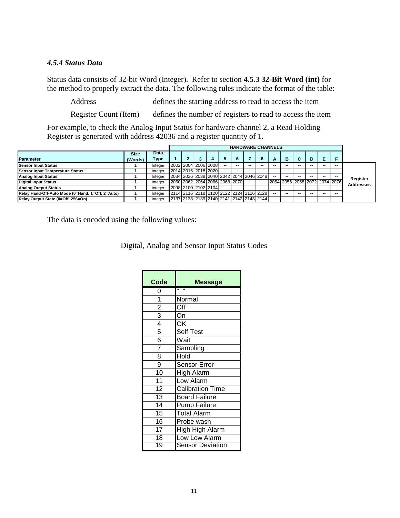#### <span id="page-13-0"></span>*4.5.4 Status Data*

Status data consists of 32-bit Word (Integer). Refer to section **4.5.3 32-Bit Word (int)** for the method to properly extract the data. The following rules indicate the format of the table:

Address defines the starting address to read to access the item

Register Count (Item) defines the number of registers to read to access the item

For example, to check the Analog Input Status for hardware channel 2, a Read Holding Register is generated with address 42036 and a register quantity of 1.

|                                                  |                        |              |  |                               |    |     | <b>HARDWARE CHANNELS</b>                |       |    |     |                               |    |     |       |                  |
|--------------------------------------------------|------------------------|--------------|--|-------------------------------|----|-----|-----------------------------------------|-------|----|-----|-------------------------------|----|-----|-------|------------------|
| <b>Parameter</b>                                 | <b>Size</b><br>(Words) | Data<br>Type |  |                               |    | 6   |                                         | 8     | A  | в   |                               | D  | E   |       |                  |
| <b>Sensor Input Status</b>                       |                        | Integer      |  | 2002 2004 2006 2008           | -- | --  | --                                      |       |    | --  |                               | -- | --  | --    |                  |
| Sensor Input Temperature Status                  |                        | Integer      |  | 2014 2016 2018 2020           |    | $-$ | --                                      | $- -$ | -- | --  |                               |    | $-$ | --    |                  |
| <b>Analog Input Status</b>                       |                        | Integer      |  |                               |    |     | 2034 2036 2038 2040 2042 2044 2046 2048 |       |    | --  |                               | -- | $-$ | $- -$ | Register         |
| <b>Digital Input Status</b>                      |                        | Integer      |  | 2060 2062 2064 2066 2068 2070 |    |     | --                                      |       |    |     | 2054 2056 2058 2072 2074 2076 |    |     |       | <b>Addresses</b> |
| <b>Analog Output Status</b>                      |                        | Integer      |  | 2098 2100 2102 2104           |    | --  | --                                      |       |    |     |                               |    |     | --    |                  |
| Relay Hand-Off-Auto Mode (0=Hand, 1=Off, 2=Auto) |                        | Integer      |  |                               |    |     | 2114 2116 2118 2120 2122 2124 2126 2128 |       |    | $-$ |                               | -- |     | --    |                  |
| Relay Output State (0=Off, 256=On)               |                        | Integer      |  |                               |    |     | 2137 2138 2139 2140 2141 2142 2143 2144 |       |    |     |                               |    |     |       |                  |

The data is encoded using the following values:

| Digital, Analog and Sensor Input Status Codes |  |  |  |
|-----------------------------------------------|--|--|--|
|                                               |  |  |  |

| Code            | <b>Message</b>          |
|-----------------|-------------------------|
| 0               | $\blacksquare$          |
| 1               | Normal                  |
| $\overline{2}$  | Off                     |
| $\overline{3}$  | On                      |
| $\overline{4}$  | OK                      |
| $\overline{5}$  | Self Test               |
| $\overline{6}$  | Wait                    |
| $\overline{7}$  | Sampling                |
| 8               | Hold                    |
| 9               | Sensor Error            |
| $\overline{10}$ | <b>High Alarm</b>       |
| $\overline{11}$ | Low Alarm               |
| $\overline{12}$ | Calibration Time        |
| $\overline{13}$ | <b>Board Failure</b>    |
| $\overline{14}$ | <b>Pump Failure</b>     |
| $\overline{15}$ | <b>Total Alarm</b>      |
| $\overline{16}$ | Probe wash              |
| $\overline{17}$ | <b>High High Alarm</b>  |
| $\overline{18}$ | Low Low Alarm           |
| 19              | <b>Sensor Deviation</b> |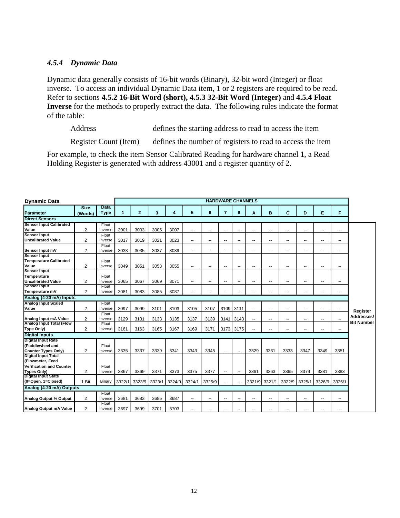#### <span id="page-14-0"></span>*4.5.4 Dynamic Data*

Dynamic data generally consists of 16-bit words (Binary), 32-bit word (Integer) or float inverse. To access an individual Dynamic Data item, 1 or 2 registers are required to be read. Refer to sections **4.5.2 16-Bit Word (short), 4.5.3 32-Bit Word (Integer)** and **4.5.4 Float Inverse** for the methods to properly extract the data. The following rules indicate the format of the table:

Address defines the starting address to read to access the item

Register Count (Item) defines the number of registers to read to access the item

For example, to check the item Sensor Calibrated Reading for hardware channel 1, a Read Holding Register is generated with address 43001 and a register quantity of 2.

| <b>Dynamic Data</b>                            |                |                  |        | <b>HARDWARE CHANNELS</b> |        |        |                |        |                |                          |                |                |                          |                          |                |        |                   |
|------------------------------------------------|----------------|------------------|--------|--------------------------|--------|--------|----------------|--------|----------------|--------------------------|----------------|----------------|--------------------------|--------------------------|----------------|--------|-------------------|
|                                                | <b>Size</b>    | Data             |        |                          |        |        |                |        |                |                          |                |                |                          |                          |                |        |                   |
| Parameter                                      | (Words)        | <b>Type</b>      | 1      | $\overline{2}$           | 3      | 4      | 5              | 6      | 7              | 8                        | A              | B              | C                        | D                        | E              | F      |                   |
| <b>Direct Sensors</b>                          |                |                  |        |                          |        |        |                |        |                |                          |                |                |                          |                          |                |        |                   |
| <b>Sensor Input Calibrated</b>                 |                | Float            |        |                          |        |        |                |        |                |                          |                |                |                          |                          |                |        |                   |
| Value                                          | $\overline{2}$ | Inverse          | 3001   | 3003                     | 3005   | 3007   | $\overline{a}$ | ۵.     | $\overline{a}$ | $\sim$                   | --             | --             | --                       | $\overline{\phantom{a}}$ | $\overline{a}$ | ۰.     |                   |
| <b>Sensor Input</b>                            |                | Float            |        |                          |        |        |                |        |                |                          |                |                |                          |                          |                |        |                   |
| Uncalibrated Value                             | $\overline{2}$ | Inverse          | 3017   | 3019                     | 3021   | 3023   | $\overline{a}$ | ٠.     | $\sim$         | --                       | --             | $\overline{a}$ | --                       | $\overline{\phantom{a}}$ | $\overline{a}$ | -−     |                   |
| Sensor Input mV                                | 2              | Float<br>Inverse | 3033   | 3035                     | 3037   | 3039   | ٠.             | --     | ۰.             | --                       | --             | ۰.             | ۰.                       | $\overline{\phantom{a}}$ | ٠.             | --     |                   |
| <b>Sensor Input</b>                            |                |                  |        |                          |        |        |                |        |                |                          |                |                |                          |                          |                |        |                   |
| <b>Temperature Calibrated</b>                  |                | Float            |        |                          |        |        |                |        |                |                          |                |                |                          |                          |                |        |                   |
| Value                                          | $\overline{2}$ | Inverse          | 3049   | 3051                     | 3053   | 3055   | ۰.             | н.     | $\overline{a}$ | --                       | --             | ۰.             | --                       | --                       | --             | $\sim$ |                   |
| <b>Sensor Input</b>                            |                |                  |        |                          |        |        |                |        |                |                          |                |                |                          |                          |                |        |                   |
| Temperature                                    |                | Float            |        |                          |        |        |                |        |                |                          |                |                |                          |                          |                |        |                   |
| <b>Uncalibrated Value</b>                      | 2              | Inverse          | 3065   | 3067                     | 3069   | 3071   | --             | ٠.     | --             | --                       | ٠.             | --             | --                       | --                       | --             | ٠.     |                   |
| <b>Sensor Input</b>                            |                | Float            |        |                          |        |        |                |        |                |                          |                |                |                          |                          |                |        |                   |
| Temperature mV                                 | $\overline{2}$ | Inverse          | 3081   | 3083                     | 3085   | 3087   | --             | --     |                |                          |                | ۰.             | --                       |                          | $\sim$         | ۰.     |                   |
| Analog (4-20 mA) Inputs                        |                |                  |        |                          |        |        |                |        |                |                          |                |                |                          |                          |                |        |                   |
| <b>Analog Input Scaled</b>                     |                | Float            |        |                          |        |        |                |        |                |                          |                |                |                          |                          |                |        |                   |
| Value                                          | $\overline{2}$ | Inverse          | 3097   | 3099                     | 3101   | 3103   | 3105           | 3107   | 3109           | 3111                     | $\overline{a}$ | $\sim$         | $\overline{\phantom{a}}$ | $\overline{\phantom{a}}$ | $\sim$         | $\sim$ | Register          |
|                                                |                | Float            |        |                          |        |        |                |        |                |                          |                |                |                          |                          |                |        | Addresses/        |
| Analog Input mA Value                          | $\overline{2}$ | Inverse          | 3129   | 3131                     | 3133   | 3135   | 3137           | 3139   | 3141           | 3143                     |                | ۰.             | --                       | н.                       | --             | --     | <b>Bit Number</b> |
| <b>Analog Input Total (Flow</b>                |                | Float            |        |                          |        |        |                |        |                |                          |                |                |                          |                          |                |        |                   |
| Type Only)                                     | $\overline{2}$ | Inverse          | 3161   | 3163                     | 3165   | 3167   | 3169           | 3171   | 3173           | 3175                     |                | $\overline{a}$ | --                       |                          | $\sim$         | $\sim$ |                   |
| <b>Digital Inputs</b>                          |                |                  |        |                          |        |        |                |        |                |                          |                |                |                          |                          |                |        |                   |
| <b>Digital Input Rate</b>                      |                |                  |        |                          |        |        |                |        |                |                          |                |                |                          |                          |                |        |                   |
| (Paddlewheel and                               |                | Float            |        |                          |        |        |                |        |                |                          |                |                |                          |                          |                |        |                   |
| Counter Types Only)                            | 2              | Inverse          | 3335   | 3337                     | 3339   | 3341   | 3343           | 3345   | $\sim$         | --                       | 3329           | 3331           | 3333                     | 3347                     | 3349           | 3351   |                   |
| <b>Digital Input Total</b><br>(Flowmeter, Feed |                |                  |        |                          |        |        |                |        |                |                          |                |                |                          |                          |                |        |                   |
| Verification and Counter                       |                | Float            |        |                          |        |        |                |        |                |                          |                |                |                          |                          |                |        |                   |
| Types Only)                                    | $\overline{2}$ | Inverse          | 3367   | 3369                     | 3371   | 3373   | 3375           | 3377   |                |                          | 3361           | 3363           | 3365                     | 3379                     | 3381           | 3383   |                   |
| <b>Digital Input State</b>                     |                |                  |        |                          |        |        |                |        | $\sim$         | $\overline{\phantom{a}}$ |                |                |                          |                          |                |        |                   |
| (0=Open, 1=Closed)                             | 1 Bit          | Binary           | 3322/1 | 3323/9                   | 3323/1 | 3324/9 | 3324/1         | 3325/9 |                | Ξ.                       | 3321/9         | 3321/1         | 3322/9                   | 3325/1                   | 3326/9         | 3326/1 |                   |
| Analog (4-20 mA) Outputs                       |                |                  |        |                          |        |        |                |        |                |                          |                |                |                          |                          |                |        |                   |
|                                                |                |                  |        |                          |        |        |                |        |                |                          |                |                |                          |                          |                |        |                   |
| Analog Output % Output                         | $\overline{2}$ | Float            | 3681   | 3683                     | 3685   | 3687   |                |        |                |                          |                |                |                          |                          |                |        |                   |
|                                                |                | Inverse<br>Float |        |                          |        |        | ۰.             | ۰.     | $\sim$         | --                       | ٠.             | ۰.             | ۰.                       | $\overline{\phantom{a}}$ | --             | ۰.     |                   |
| Analog Output mA Value                         | $\overline{2}$ | Inverse          | 3697   | 3699                     | 3701   | 3703   | ۰.             | --     | --             | --                       | --             | ۰.             | ۰.                       | $\overline{\phantom{a}}$ | ٠.             | --     |                   |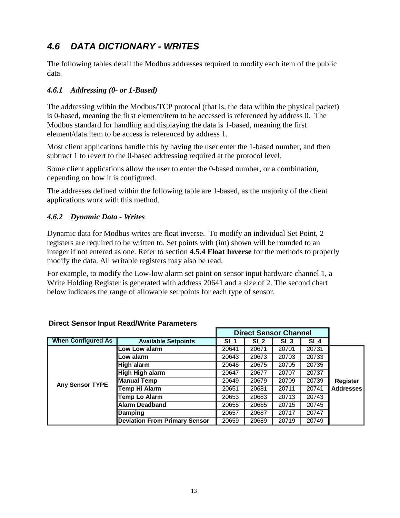## <span id="page-15-0"></span>*4.6 DATA DICTIONARY - WRITES*

The following tables detail the Modbus addresses required to modify each item of the public data.

#### <span id="page-15-1"></span>*4.6.1 Addressing (0- or 1-Based)*

The addressing within the Modbus/TCP protocol (that is, the data within the physical packet) is 0-based, meaning the first element/item to be accessed is referenced by address 0. The Modbus standard for handling and displaying the data is 1-based, meaning the first element/data item to be access is referenced by address 1.

Most client applications handle this by having the user enter the 1-based number, and then subtract 1 to revert to the 0-based addressing required at the protocol level.

Some client applications allow the user to enter the 0-based number, or a combination, depending on how it is configured.

The addresses defined within the following table are 1-based, as the majority of the client applications work with this method.

#### <span id="page-15-2"></span>*4.6.2 Dynamic Data - Writes*

Dynamic data for Modbus writes are float inverse. To modify an individual Set Point, 2 registers are required to be written to. Set points with (int) shown will be rounded to an integer if not entered as one. Refer to section **4.5.4 Float Inverse** for the methods to properly modify the data. All writable registers may also be read.

For example, to modify the Low-low alarm set point on sensor input hardware channel 1, a Write Holding Register is generated with address 20641 and a size of 2. The second chart below indicates the range of allowable set points for each type of sensor.

|                           |                                      |        | <b>Direct Sensor Channel</b> |                 |        |                  |
|---------------------------|--------------------------------------|--------|------------------------------|-----------------|--------|------------------|
| <b>When Configured As</b> | <b>Available Setpoints</b>           | $SI_1$ | SI <sub>2</sub>              | SI <sub>3</sub> | $SI_4$ |                  |
|                           | Low Low alarm                        | 20641  | 20671                        | 20701           | 20731  |                  |
|                           | Low alarm                            | 20643  | 20673                        | 20703           | 20733  |                  |
|                           | High alarm                           | 20645  | 20675                        | 20705           | 20735  |                  |
|                           | High High alarm                      | 20647  | 20677                        | 20707           | 20737  |                  |
| Any Sensor TYPE           | <b>Manual Temp</b>                   | 20649  | 20679                        | 20709           | 20739  | <b>Register</b>  |
|                           | Temp Hi Alarm                        | 20651  | 20681                        | 20711           | 20741  | <b>Addresses</b> |
|                           | <b>Temp Lo Alarm</b>                 | 20653  | 20683                        | 20713           | 20743  |                  |
|                           | <b>Alarm Deadband</b>                | 20655  | 20685                        | 20715           | 20745  |                  |
|                           | Damping                              | 20657  | 20687                        | 20717           | 20747  |                  |
|                           | <b>Deviation From Primary Sensor</b> | 20659  | 20689                        | 20719           | 20749  |                  |

#### **Direct Sensor Input Read/Write Parameters**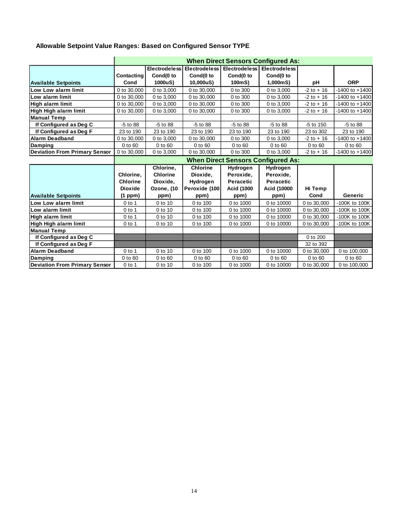#### **Allowable Setpoint Value Ranges: Based on Configured Sensor TYPE**

|                                      |                 |                                           |                 |                             | <b>When Direct Sensors Configured As:</b> |               |                    |  |  |  |  |  |  |  |  |
|--------------------------------------|-----------------|-------------------------------------------|-----------------|-----------------------------|-------------------------------------------|---------------|--------------------|--|--|--|--|--|--|--|--|
|                                      |                 | <b>Electrodeless</b>                      |                 | Electrodeless Electrodeless | <b>Electrodeless</b>                      |               |                    |  |  |  |  |  |  |  |  |
|                                      | Contacting      | Cond(0 to                                 | Cond(0 to       | Cond(0 to                   | Cond(0 to                                 |               |                    |  |  |  |  |  |  |  |  |
| <b>Available Setpoints</b>           | Cond            | 1000uS)                                   | 10,000uS)       | 100mS)                      | 1,000mS)                                  | рH            | <b>ORP</b>         |  |  |  |  |  |  |  |  |
| Low Low alarm limit                  | 0 to 30,000     | 0 to 3,000                                | 0 to 30,000     | 0 to 300                    | 0 to 3,000                                | $-2$ to $+16$ | $-1400$ to $+1400$ |  |  |  |  |  |  |  |  |
| Low alarm limit                      | 0 to 30,000     | 0 to 3,000                                | 0 to 30,000     | 0 to 300                    | 0 to 3,000                                | $-2$ to $+16$ | $-1400$ to $+1400$ |  |  |  |  |  |  |  |  |
| High alarm limit                     | 0 to 30,000     | 0 to 3,000                                | 0 to 30,000     | 0 to 300                    | 0 to 3,000                                | $-2$ to $+16$ | $-1400$ to $+1400$ |  |  |  |  |  |  |  |  |
| High High alarm limit                | 0 to 30,000     | 0 to 3,000                                | 0 to 30,000     | 0 to 300                    | 0 to 3,000                                | $-2$ to $+16$ | $-1400$ to $+1400$ |  |  |  |  |  |  |  |  |
| <b>Manual Temp</b>                   |                 |                                           |                 |                             |                                           |               |                    |  |  |  |  |  |  |  |  |
| If Configured as Deg C               | $-5$ to $88$    | -5 to 88                                  | -5 to 88        | -5 to 88                    | $-5$ to $88$                              | -5 to 150     | $-5$ to 88         |  |  |  |  |  |  |  |  |
| If Configured as Deg F               | 23 to 190       | 23 to 190                                 | 23 to 190       | 23 to 190                   | 23 to 190                                 | 23 to 302     | 23 to 190          |  |  |  |  |  |  |  |  |
| <b>Alarm Deadband</b>                | 0 to 30,000     | 0 to 3,000                                | 0 to 30,000     | 0 to 300                    | 0 to 3,000                                | $-2$ to $+16$ | $-1400$ to $+1400$ |  |  |  |  |  |  |  |  |
| Damping                              | 0 to 60         | 0 to 60                                   | 0 to 60         | 0 to 60                     | 0 to 60                                   | 0 to 60       | $0$ to $60$        |  |  |  |  |  |  |  |  |
| <b>Deviation From Primary Sensor</b> | 0 to 30,000     | 0 to 3,000                                | 0 to 30,000     | 0 to 300                    | 0 to 3,000                                | $-2$ to $+16$ | $-1400$ to $+1400$ |  |  |  |  |  |  |  |  |
|                                      |                 | <b>When Direct Sensors Configured As:</b> |                 |                             |                                           |               |                    |  |  |  |  |  |  |  |  |
|                                      |                 | Chlorine,                                 | <b>Chlorine</b> | Hydrogen                    | Hydrogen                                  |               |                    |  |  |  |  |  |  |  |  |
|                                      | Chlorine,       | <b>Chlorine</b>                           | Dioxide,        | Peroxide,                   | Peroxide,                                 |               |                    |  |  |  |  |  |  |  |  |
|                                      | <b>Chlorine</b> | Dioxide,                                  | Hydrogen        | <b>Peracetic</b>            | <b>Peracetic</b>                          |               |                    |  |  |  |  |  |  |  |  |
|                                      | <b>Dioxide</b>  | Ozone, (10                                | Peroxide (100   | <b>Acid (1000</b>           | Acid (10000                               | Hi Temp       |                    |  |  |  |  |  |  |  |  |
| <b>Available Setpoints</b>           | (1 ppm)         | ppm)                                      | ppm)            | ppm)                        | ppm)                                      | Cond          | Generic            |  |  |  |  |  |  |  |  |
| Low Low alarm limit                  | $0$ to 1        | 0 to 10                                   | 0 to 100        | 0 to 1000                   | 0 to 10000                                | 0 to 30,000   | -100K to 100K      |  |  |  |  |  |  |  |  |
| Low alarm limit                      | $0$ to 1        | 0 to 10                                   | 0 to 100        | 0 to 1000                   | 0 to 10000                                | 0 to 30,000   | -100K to 100K      |  |  |  |  |  |  |  |  |
| High alarm limit                     | $0$ to 1        | 0 to 10                                   | 0 to 100        | 0 to 1000                   | 0 to 10000                                | 0 to 30,000   | -100K to 100K      |  |  |  |  |  |  |  |  |
| High High alarm limit                | $0$ to 1        | 0 to 10                                   | 0 to 100        | 0 to 1000                   | 0 to 10000                                | 0 to 30,000   | -100K to 100K      |  |  |  |  |  |  |  |  |
| <b>Manual Temp</b>                   |                 |                                           |                 |                             |                                           |               |                    |  |  |  |  |  |  |  |  |
| If Configured as Deg C               |                 |                                           |                 |                             |                                           | 0 to 200      |                    |  |  |  |  |  |  |  |  |
| If Configured as Deg F               |                 |                                           |                 |                             |                                           | 32 to 392     |                    |  |  |  |  |  |  |  |  |
| <b>Alarm Deadband</b>                | $0$ to 1        | 0 to 10                                   | 0 to 100        | 0 to 1000                   | 0 to 10000                                | 0 to 30,000   | 0 to 100,000       |  |  |  |  |  |  |  |  |
| Damping                              | 0 to 60         | 0 to 60                                   | 0 to 60         | 0 to 60                     | 0 to 60                                   | 0 to 60       | 0 to 60            |  |  |  |  |  |  |  |  |
| <b>Deviation From Primary Sensor</b> | $0$ to 1        | 0 to 10                                   | 0 to 100        | 0 to 1000                   | 0 to 10000                                | 0 to 30,000   | 0 to 100,000       |  |  |  |  |  |  |  |  |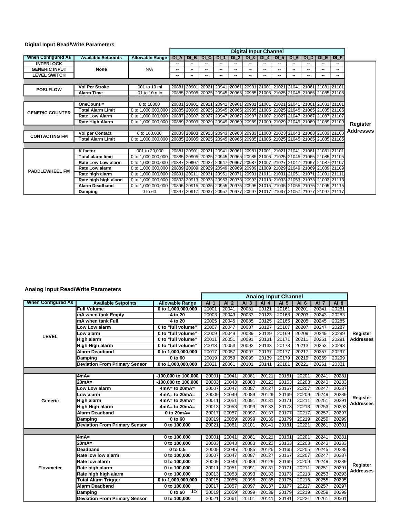#### **Digital Input Read/Write Parameters**

|                           |                            |                        | <b>Digital Input Channel</b> |                                     |             |             |                 |                 |                                                                                       |                 |        |                               |        |                                                                         |                  |
|---------------------------|----------------------------|------------------------|------------------------------|-------------------------------------|-------------|-------------|-----------------|-----------------|---------------------------------------------------------------------------------------|-----------------|--------|-------------------------------|--------|-------------------------------------------------------------------------|------------------|
| <b>When Configured As</b> | <b>Available Setpoints</b> | <b>Allowable Range</b> | DI A                         | $DI$ B                              | DI CI       | DI 1        | DI <sub>2</sub> | DI <sub>3</sub> | $DI$ 4                                                                                | DI <sub>5</sub> |        | DI 6   DI D                   | $DI$ E | $DI$ F                                                                  |                  |
| <b>INTERLOCK</b>          |                            |                        |                              |                                     |             | --          | --              | ۰.              | --                                                                                    | $- -$           | $- -$  | --                            |        | --                                                                      |                  |
| <b>GENERIC INPUT</b>      | <b>None</b>                | N/A                    |                              |                                     |             | $- -$       | --              | ۰.              | --                                                                                    | --              | --     | --                            |        | --                                                                      |                  |
| <b>LEVEL SWITCH</b>       |                            |                        | $\overline{\phantom{a}}$     | --                                  | --          | $- -$       | --              | ۰.              | $- -$                                                                                 | --              | --     | $\sim$ $\sim$                 | --     | --                                                                      |                  |
|                           |                            |                        |                              |                                     |             |             |                 |                 |                                                                                       |                 |        |                               |        |                                                                         |                  |
| <b>POSI-FLOW</b>          | <b>Vol Per Stroke</b>      | .001 to 10 ml          | 20881                        | 20901 20921 20941 20961 20981 21001 |             |             |                 |                 |                                                                                       |                 |        | 21021 21041 21061 21081 21101 |        |                                                                         |                  |
|                           | <b>Alarm Time</b>          | .01 to 10 min          |                              |                                     |             |             |                 |                 |                                                                                       |                 |        |                               |        | 20885 20905 20925 20945 20965 20985 21005 21025 21045 21065 21085 21105 |                  |
|                           |                            |                        |                              |                                     |             |             |                 |                 |                                                                                       |                 |        |                               |        |                                                                         |                  |
|                           | $OneCount =$               | 0 to 10000             | 20881                        |                                     | 20901 20921 | 20941 20961 |                 | 20981           | 21001                                                                                 | 21021           | 121041 | 21061 21081 21101             |        |                                                                         |                  |
| <b>GENERIC COUNTER</b>    | <b>Total Alarm Limit</b>   | 0 to 1,000,000,000     |                              |                                     |             |             |                 |                 |                                                                                       |                 |        |                               |        | 20885 20905 20925 20945 20965 20985 21005 21025 21045 21065 21085 21105 |                  |
|                           | <b>Rate Low Alarm</b>      | 0 to 1,000,000,000     |                              | 20887 20907 20927                   |             |             |                 |                 | 20947 20967 20987 21007 21027 21047 21067 21087 21107                                 |                 |        |                               |        |                                                                         |                  |
|                           | Rate High Alarm            | 0 to 1,000,000,000     |                              |                                     |             |             |                 |                 | 20889 20909 20929 20949 20969 20989 21009 21029 21049 21069 21089 21109               |                 |        |                               |        |                                                                         | Register         |
|                           |                            |                        |                              |                                     |             |             |                 |                 |                                                                                       |                 |        |                               |        |                                                                         | <b>Addresses</b> |
| <b>CONTACTING FM</b>      | <b>Vol per Contact</b>     | 0 to 100,000           |                              |                                     |             |             |                 |                 | 20883 20903 20923 20943 20963 20983 21003 21023 21043 21063 21083 21103               |                 |        |                               |        |                                                                         |                  |
|                           | <b>Total Alarm Limit</b>   | 0 to 1,000,000,000     |                              |                                     |             |             |                 |                 | 20885 20905 20925 20945 20965 20985 21005 21025 21045 21065 21085 21105               |                 |        |                               |        |                                                                         |                  |
|                           |                            |                        |                              |                                     |             |             |                 |                 |                                                                                       |                 |        |                               |        |                                                                         |                  |
|                           | K factor                   | .001 to 20,000         | 20881                        |                                     |             |             |                 |                 | 20901   20921   20941   20961   20981   21001   21021   21041   21061   21081   21101 |                 |        |                               |        |                                                                         |                  |
|                           | <b>Total alarm limit</b>   | 0 to 1,000,000,000     |                              |                                     |             |             |                 |                 |                                                                                       |                 |        |                               |        | 20885 20905 20925 20945 20965 20985 21005 21025 21045 21065 21085 21105 |                  |
| <b>PADDLEWHEEL FM</b>     | <b>Rate Low Low alarm</b>  | 0 to 1,000,000,000     |                              |                                     |             |             |                 |                 | 20887 20907 20927 20947 20967 20987 21007 21027 21047 21067 21087 21107               |                 |        |                               |        |                                                                         |                  |
|                           | <b>Rate Low alarm</b>      | 0 to 1,000,000,000     |                              |                                     |             |             |                 |                 |                                                                                       |                 |        |                               |        | 20889 20909 20929 20949 20969 20989 21009 21029 21049 21069 21089 21109 |                  |
|                           | Rate high alarm            | 0 to 1,000,000,000     | 20891                        | 20911 20931 20951 20971 20991 21011 |             |             |                 |                 |                                                                                       |                 |        | 21031 21051 21071 21091 21111 |        |                                                                         |                  |
|                           | Rate high high alarm       | 0 to 1,000,000,000     |                              |                                     |             |             |                 |                 |                                                                                       |                 |        |                               |        | 20893 20913 20933 20953 20973 20993 21013 21033 21053 21073 21093 21113 |                  |
|                           | <b>Alarm Deadband</b>      | 0 to 1,000,000,000     |                              |                                     |             |             |                 |                 |                                                                                       |                 |        |                               |        | 20895 20915 20935 20955 20975 20995 21015 21035 21055 21075 21095 21115 |                  |
|                           | Damping                    | 0 to 60                |                              |                                     |             |             |                 |                 |                                                                                       |                 |        |                               |        | 20897 20917 20937 20957 20977 20997 21017 21037 21057 21077 21097 21117 |                  |

#### **Analog Input Read/Write Parameters**

|                           |                                      |                        | <b>Analog Input Channel</b> |                 |        |        |                 |                 |        |       |                              |
|---------------------------|--------------------------------------|------------------------|-----------------------------|-----------------|--------|--------|-----------------|-----------------|--------|-------|------------------------------|
| <b>When Configured As</b> | <b>Available Setpoints</b>           | <b>Allowable Range</b> | $AI$ 1                      | AI <sub>2</sub> | $AI$ 3 | $AI$ 4 | AI <sub>5</sub> | AI <sub>6</sub> | $AI$ 7 | AI 8  |                              |
|                           | <b>Full Volume</b>                   | 0 to 1,000,000,000     | 20001                       | 20041           | 20081  | 20121  | 20161           | 20201           | 20241  | 20281 |                              |
|                           | mA when tank Empty                   | 4 to 20                | 20003                       | 20043           | 20083  | 20123  | 20163           | 20203           | 20243  | 20283 |                              |
|                           | mA when tank Full                    | 4 to 20                | 20005                       | 20045           | 20085  | 20125  | 20165           | 20205           | 20245  | 20285 |                              |
|                           | Low Low alarm                        | 0 to "full volume"     | 20007                       | 20047           | 20087  | 20127  | 20167           | 20207           | 20247  | 20287 |                              |
| <b>LEVEL</b>              | Low alarm                            | 0 to "full volume"     | 20009                       | 20049           | 20089  | 20129  | 20169           | 20209           | 20249  | 20289 | Register                     |
|                           | <b>High alarm</b>                    | 0 to "full volume"     | 20011                       | 20051           | 20091  | 20131  | 20171           | 20211           | 20251  | 20291 | <b>Addresses</b>             |
|                           | High High alarm                      | 0 to "full volume"     | 20013                       | 20053           | 20093  | 20133  | 20173           | 20213           | 20253  | 20293 |                              |
|                           | <b>Alarm Deadband</b>                | 0 to 1,000,000,000     | 20017                       | 20057           | 20097  | 20137  | 20177           | 20217           | 20257  | 20297 |                              |
|                           | <b>Damping</b>                       | 0 to 60                | 20019                       | 20059           | 20099  | 20139  | 20179           | 20219           | 20259  | 20299 |                              |
|                           | <b>Deviation From Primary Sensor</b> | 0 to 1,000,000,000     | 20021                       | 20061           | 20101  | 20141  | 20181           | 20221           | 20261  | 20301 |                              |
|                           |                                      |                        |                             |                 |        |        |                 |                 |        |       |                              |
|                           | $4mA=$                               | -100,000 to 100,000    | 20001                       | 20041           | 20081  | 20121  | 20161           | 20201           | 20241  | 20281 |                              |
|                           | 20mA=                                | -100,000 to 100,000    | 20003                       | 20043           | 20083  | 20123  | 20163           | 20203           | 20243  | 20283 | Register<br><b>Addresses</b> |
|                           | ow Low alarm                         | $4mA = to 20mA =$      | 20007                       | 20047           | 20087  | 20127  | 20167           | 20207           | 20247  | 20287 |                              |
|                           | Low alarm                            | $4mA = to 20mA =$      | 20009                       | 20049           | 20089  | 20129  | 20169           | 20209           | 20249  | 20289 |                              |
| Generic                   | <b>High alarm</b>                    | $4mA = to 20mA =$      | 20011                       | 20051           | 20091  | 20131  | 20171           | 20211           | 20251  | 20291 |                              |
|                           | High High alarm                      | $4mA = to 20mA =$      | 20013                       | 20053           | 20093  | 20133  | 20173           | 20213           | 20253  | 20293 |                              |
|                           | <b>Alarm Deadband</b>                | 0 to $20mA =$          | 20017                       | 20057           | 20097  | 20137  | 20177           | 20217           | 20257  | 20297 |                              |
|                           | Damping                              | 0 to 60                | 20019                       | 20059           | 20099  | 20139  | 20179           | 20219           | 20259  | 20299 |                              |
|                           | <b>Deviation From Primary Sensor</b> | 0 to 100,000           | 20021                       | 20061           | 20101  | 20141  | 20181           | 20221           | 20261  | 20301 |                              |
|                           |                                      |                        |                             |                 |        |        |                 |                 |        |       |                              |
|                           | $4mA=$                               | 0 to 100,000           | 20001                       | 20041           | 20081  | 20121  | 20161           | 20201           | 20241  | 20281 |                              |
|                           | $20mA =$                             | 0 to 100,000           | 20003                       | 20043           | 20083  | 20123  | 20163           | 20203           | 20243  | 20283 |                              |
|                           | <b>Deadband</b>                      | 0 to 0.5               | 20005                       | 20045           | 20085  | 20125  | 20165           | 20205           | 20245  | 20285 |                              |
|                           | Rate low low alarm                   | 0 to 100,000           | 20007                       | 20047           | 20087  | 20127  | 20167           | 20207           | 20247  | 20287 |                              |
|                           | Rate low alarm                       | 0 to 100,000           | 20009                       | 20049           | 20089  | 20129  | 20169           | 20209           | 20249  | 20289 |                              |
| <b>Flowmeter</b>          | Rate high alarm                      | 0 to 100,000           | 20011                       | 20051           | 20091  | 20131  | 20171           | 20211           | 20251  | 2029' | Register<br><b>Addresses</b> |
|                           | Rate high high alarm                 | 0 to 100,000           | 20013                       | 20053           | 20093  | 20133  | 20173           | 20213           | 20253  | 20293 |                              |
|                           | <b>Total Alarm Trigger</b>           | 0 to 1,000,000,000     | 20015                       | 20055           | 20095  | 20135  | 20175           | 20215           | 20255  | 20295 |                              |
|                           | <b>Alarm Deadband</b>                | 0 to 100,000           | 20017                       | 20057           | 20097  | 20137  | 20177           | 20217           | 20257  | 20297 |                              |
|                           | Damping                              | $0$ to 60<br>15        | 20019                       | 20059           | 20099  | 20139  | 20179           | 20219           | 20259  | 20299 |                              |
|                           | <b>Deviation From Primary Sensor</b> | 0 to 100,000           | 20021                       | 20061           | 20101  | 20141  | 20181           | 20221           | 20261  | 20301 |                              |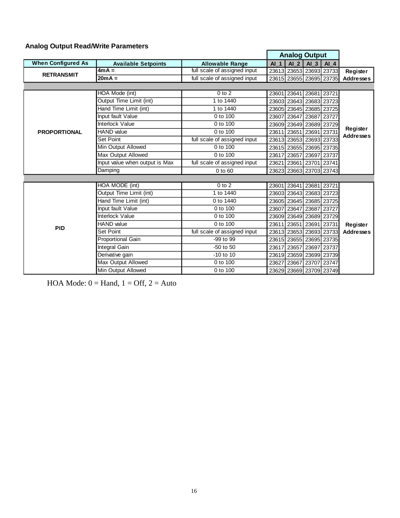#### **Analog Output Read/Write Parameters**

|                           |                                |                              |        | <b>Analog Output</b>    |                      |                         |                              |
|---------------------------|--------------------------------|------------------------------|--------|-------------------------|----------------------|-------------------------|------------------------------|
| <b>When Configured As</b> | <b>Available Setpoints</b>     | <b>Allowable Range</b>       | $AI_1$ |                         | $AI$ 2 $AI$ 3 $AI$ 4 |                         |                              |
| <b>RETRANSMIT</b>         | $4mA =$                        | full scale of assigned input |        |                         |                      | 23613 23653 23693 23733 | Register                     |
|                           | $20mA =$                       | full scale of assigned input |        |                         |                      | 23615 23655 23695 23735 | <b>Addresses</b>             |
|                           |                                |                              |        |                         |                      |                         |                              |
|                           | HOA Mode (int)                 | $0$ to $2$                   |        | 23601 23641 23681 23721 |                      |                         |                              |
|                           | Output Time Limit (int)        | 1 to 1440                    |        | 23603 23643 23683 23723 |                      |                         |                              |
|                           | Hand Time Limit (int)          | 1 to 1440                    |        | 23605 23645 23685 23725 |                      |                         |                              |
|                           | Input fault Value              | 0 to 100                     |        | 23607 23647 23687 23727 |                      |                         |                              |
|                           | Interlock Value                | 0 to 100                     |        | 23609 23649 23689 23729 |                      |                         |                              |
| <b>PROPORTIONAL</b>       | <b>HAND</b> value              | 0 to 100                     |        | 23611 23651 23691 23731 |                      |                         | Register<br><b>Addresses</b> |
|                           | <b>Set Point</b>               | full scale of assigned input |        | 23613 23653 23693 23733 |                      |                         |                              |
|                           | Min Output Allowed             | 0 to 100                     |        | 23615 23655 23695 23735 |                      |                         |                              |
|                           | Max Output Allowed             | 0 to 100                     | 23617  |                         | 23657 23697          | 23737                   |                              |
|                           | Input value when output is Max | full scale of assigned input |        | 23621 23661 23701 23741 |                      |                         |                              |
|                           | Damping                        | $0$ to $60$                  |        |                         |                      | 23623 23663 23703 23743 |                              |
|                           |                                |                              |        |                         |                      |                         |                              |
|                           | HOA MODE (int)                 | $0$ to $2$                   |        | 23601 23641 23681 23721 |                      |                         |                              |
|                           | Output Time Limit (int)        | 1 to 1440                    |        | 23603 23643 23683 23723 |                      |                         |                              |
|                           | Hand Time Limit (int)          | 0 to 1440                    |        | 23605 23645 23685 23725 |                      |                         |                              |
|                           | Input fault Value              | 0 to 100                     |        | 23607 23647 23687       |                      | 23727                   |                              |
|                           | Interlock Value                | 0 to 100                     |        | 23609 23649 23689 23729 |                      |                         |                              |
| <b>PID</b>                | <b>HAND</b> value              | 0 to 100                     |        | 23611 23651 23691 23731 |                      |                         | Register                     |
|                           | <b>Set Point</b>               | full scale of assigned input |        | 23613 23653 23693 23733 |                      |                         | <b>Addresses</b>             |
|                           | <b>Proportional Gain</b>       | $-99$ to $99$                |        | 23615 23655 23695 23735 |                      |                         |                              |
|                           | Integral Gain                  | $-50$ to $50$                |        | 23617 23657 23697 23737 |                      |                         |                              |
|                           | Derivative gain                | $-10$ to $10$                |        | 23619 23659 23699 23739 |                      |                         |                              |
|                           | Max Output Allowed             | 0 to 100                     |        | 23627 23667 23707 23747 |                      |                         |                              |
|                           | Min Output Allowed             | 0 to 100                     |        |                         |                      | 23629 23669 23709 23749 |                              |

HOA Mode:  $0 =$  Hand,  $1 =$  Off,  $2 =$  Auto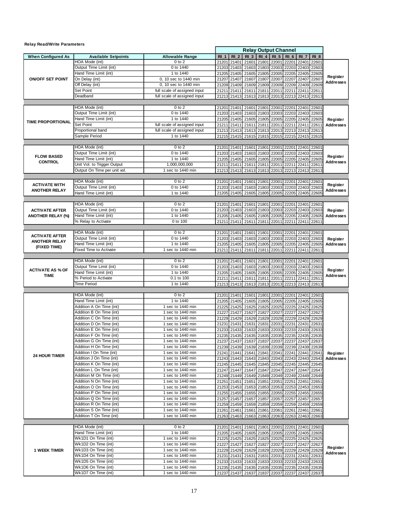| <b>Relay Read/Write Parameters</b> |                                                             |                                                              |                |                      |                                                    |                   |                 |                   |                      |                   |                  |
|------------------------------------|-------------------------------------------------------------|--------------------------------------------------------------|----------------|----------------------|----------------------------------------------------|-------------------|-----------------|-------------------|----------------------|-------------------|------------------|
|                                    |                                                             |                                                              |                |                      | <b>Relay Output Channel</b>                        |                   |                 |                   |                      |                   |                  |
| <b>When Configured As</b>          | <b>Available Setpoints</b>                                  | <b>Allowable Range</b>                                       | <b>RI 1</b>    | R12                  | R13                                                | $RI$ 4            | RI <sub>5</sub> | RI <sub>6</sub>   | RI <sub>7</sub>      | <b>RI 8</b>       |                  |
|                                    | HOA Mode (int)                                              | $0$ to $2$                                                   | 21201          | 21401                | 21601                                              | 21801             | 22001           | 22201             | 22401                | 2260'             |                  |
|                                    | Output Time Limit (int)                                     | 0 to 1440                                                    | 21203          | 21403                |                                                    | 21603 21803       | 22003           |                   | 22203 22403          | 22603             |                  |
|                                    | Hand Time Limit (int)                                       | 1 to 1440                                                    | 21205          | 21405                |                                                    | 21605 21805       | 22005           | 22205             | 22405                | 22605             | Register         |
| <b>ON/OFF SET POINT</b>            | On Delay (int)                                              | 0, 10 sec to 1440 min                                        | 21207          | 21407                | 21607                                              | 21807             | 22007           | 22207             | 22407                | 22607             | Addresses        |
|                                    | Off Delay (int)                                             | 0, 10 sec to 1440 min                                        | 21209          | 21409                | 21609                                              | 21809             | 22009           | 22209             | 22409                | 22609             |                  |
|                                    | Set Point<br>Deadband                                       | full scale of assigned input<br>full scale of assigned input | 21211          | 21411                | 21611                                              | 21811             | 22011           | 22211             | 22411                | 22611             |                  |
|                                    |                                                             |                                                              |                | 21213 21413          | 21613                                              | 21813             | 22013           | 22213             | 22413                | 22613             |                  |
|                                    | HOA Mode (int)                                              | $0$ to $2$                                                   | 21201          | 21401                | 21601                                              | 21801             | 22001           | 22201             | 22401                | 22601             |                  |
|                                    | Output Time Limit (int)                                     | 0 to 1440                                                    | 21203          | 21403                | 21603                                              | 21803             | 22003           | 22203             | 22403                | 22603             |                  |
|                                    | Hand Time Limit (int)                                       | 1 to 1440                                                    | 21205          | 21405                | 21605                                              | 21805             | 22005           | 22205             | 22405                | 22605             | Register         |
| <b>TIME PROPORTIONAL</b>           | Set Point                                                   | full scale of assigned input                                 | 21211          | 21411                | 21611                                              | 21811             | 22011           | 22211             | 22411                | 22611             | <b>Addresses</b> |
|                                    | Proportional band                                           | full scale of assigned input                                 |                |                      | 21213 21413 21613 21813 22013                      |                   |                 |                   | 22213 22413          | 22613             |                  |
|                                    | Sample Period                                               | 1 to 1440                                                    |                |                      | 21215 21415 21615 21815 22015                      |                   |                 |                   |                      | 22215 22415 22615 |                  |
|                                    |                                                             |                                                              |                |                      |                                                    |                   |                 |                   |                      |                   |                  |
|                                    | HOA Mode (int)                                              | $0$ to $2$                                                   | 21201          | 21401                | 21601                                              | 21801             | 22001           | 22201             | 22401                | 22601             |                  |
| <b>FLOW BASED</b>                  | Output Time Limit (int)                                     | 0 to 1440                                                    | 21203          | 21403                | 21603                                              | 21803             | 22003           | 22203             | 22403                | 22603             | Register         |
| <b>CONTROL</b>                     | Hand Time Limit (int)                                       | 1 to 1440                                                    |                | 21205 21405          | 21605                                              | 21805             | 22005           |                   | 22205 22405          | 22605             | <b>Addresses</b> |
|                                    | Unit Vol. to Trigger Output<br>Output On Time per unit vol. | 1,000,000,000<br>1 sec to 1440 min                           |                | 21211 21411          | 21611                                              | 21811             | 22011           | 22211             | 22411                | 2261              |                  |
|                                    |                                                             |                                                              | 21213          | 21413                |                                                    | 21613 21813       | 22013           |                   | 22213 22413          | 22613             |                  |
|                                    | HOA Mode (int)                                              | 0 to 2                                                       | 21201          | 21401                | 21601                                              | 21801             | 22001           |                   | 22201 22401          | 22601             |                  |
| <b>ACTIVATE WITH</b>               | Output Time Limit (int)                                     | 0 to 1440                                                    | 21203          | 21403                |                                                    | 21603 21803       | 22003           |                   | 22203 22403          | 22603             | Register         |
| <b>ANOTHER RELAY</b>               | Hand Time Limit (int)                                       | 1 to 1440                                                    | 21205          | 21405                |                                                    | 21605 21805 22005 |                 |                   | 22205 22405          | 22605             | Addresses        |
|                                    |                                                             |                                                              |                |                      |                                                    |                   |                 |                   |                      |                   |                  |
|                                    | HOA Mode (int)                                              | $0$ to $2$                                                   |                |                      | 21201 21401 21601 21801 22001 22201 22401 22601    |                   |                 |                   |                      |                   |                  |
| <b>ACTIVATE AFTER</b>              | Output Time Limit (int)                                     | 0 to 1440                                                    |                | 21203 21403          | 21603                                              | 21803             | 22003           | 22203             | 22403 22603          |                   | Register         |
| <b>ANOTHER RELAY (%)</b>           | Hand Time Limit (int)                                       | 1 to 1440                                                    |                | 21205 21405          | 21605                                              | 21805             | 22005           | 22205             | 22405                | 22605             | Addresses        |
|                                    | % Relay to Activate                                         | 0 to 100                                                     | 21211          | 21411                | 21611                                              | 21811             | 22011           |                   | 22211 22411          | 22611             |                  |
|                                    |                                                             |                                                              |                |                      |                                                    |                   |                 |                   |                      |                   |                  |
| <b>ACTIVATE AFTER</b>              | HOA Mode (int)                                              | $0$ to $2$                                                   | 21201          | 21401                |                                                    | 21601 21801 22001 |                 |                   | 22201 22401          | 22601             |                  |
| <b>ANOTHER RELAY</b>               | Output Time Limit (int)                                     | 0 to 1440<br>1 to 1440                                       |                | 21203 21403          |                                                    | 21603 21803       | 22003           | 22203             | 22403                | 22603             | Register         |
| (FIXED TIME)                       | Hand Time Limit (int)<br>Fixed Time to Activate             | 1 sec to 1440 min                                            |                | 21205 21405<br>21411 |                                                    | 21605 21805       | 22005           | 22205<br>22211    | 22405<br>22411       | 22605<br>22611    | <b>Addresses</b> |
|                                    |                                                             |                                                              | 21211          |                      |                                                    | 21611 21811 22011 |                 |                   |                      |                   |                  |
|                                    | HOA Mode (int)                                              | 0 to 2                                                       | 21201          | 21401                | 21601                                              | 21801             | 22001           |                   | 22201 22401          | 22601             |                  |
|                                    | Output Time Limit (int)                                     | $\overline{0}$ to 1440                                       | 21203          | 21403                | 21603                                              | 21803             | 22003           | 22203             | 22403                | 22603             |                  |
| <b>ACTIVATE AS % OF</b>            | Hand Time Limit (int)                                       | 1 to 1440                                                    |                |                      | 21205 21405 21605                                  | 21805             | 22005           |                   | 22205 22405 22605    |                   | Register         |
| <b>TIME</b>                        | % Period to Activate                                        | 0.1 to 100                                                   |                | 21211 21411          | 21611                                              | 21811             | 22011           | 22211             | 22411                | 22611             | Addresses        |
|                                    | <b>Time Period</b>                                          | 1 to 1440                                                    | 21213          |                      | 21413 21613 21813 22013                            |                   |                 |                   | 22213 22413          | 22613             |                  |
|                                    |                                                             |                                                              |                |                      |                                                    |                   |                 |                   |                      |                   |                  |
|                                    | HOA Mode (int)                                              | 0 to 2                                                       |                | 21201 21401          | 21601                                              | 21801 22001       |                 |                   | 22201 22401          | 22601             |                  |
|                                    | Hand Time Limit (int)                                       | 1 to 1440                                                    |                | 21205 21405          |                                                    | 21605 21805       | 22005           | 22205             | 22405                | 22605             |                  |
|                                    | Addition A On Time (int)<br>Addition B On Time (int)        | 1 sec to 1440 min<br>1 sec to 1440 min                       | 21225          | 21425                | 21625                                              | 21825             | 22025           | 22225             | 22425                | 22625             |                  |
|                                    | Addition C On Time (int)                                    | 1 sec to 1440 min                                            | 21227<br>21229 | 21427<br>21429       | 21627<br>21629                                     | 21827<br>21829    | 22027<br>22029  | 22227<br>22229    | 22427<br>22429       | 2262<br>22629     |                  |
|                                    | Addition D On Time (int)                                    | 1 sec to 1440 min                                            | 21231          | 21431                | 21631                                              | 21831             | 22031           | 22231             | 22431                | 2263 <sup>-</sup> |                  |
|                                    | Addition E On Time (int)                                    | 1 sec to 1440 min                                            |                | 21233 21433          | 21633                                              | 21833             | 22033           | 22233             | 22433                | 22633             |                  |
|                                    | Addition F On Time (int)                                    | 1 sec to 1440 min                                            |                |                      | 21235 21435 21635 21835 22035 22235 22435 22635    |                   |                 |                   |                      |                   |                  |
|                                    | Addition G On Time (int)                                    | 1 sec to 1440 min                                            |                |                      | 21237 21437 21637 21837 22037 22237 22437 22637    |                   |                 |                   |                      |                   |                  |
|                                    | Addition H On Time (int)                                    | 1 sec to 1440 min                                            |                |                      | 21239 21439 21639 21839 22039 22239 22439 22639    |                   |                 |                   |                      |                   |                  |
|                                    | Addition I On Time (int)                                    | 1 sec to 1440 min                                            |                |                      | 21241 21441 21641 21841                            |                   | 22041           | 22241             | 22441                | 22641             | Register         |
| <b>24 HOUR TIMER</b>               | Addition J On Time (int)                                    | 1 sec to 1440 min                                            |                |                      | 21243 21443 21643 21843 22043                      |                   |                 |                   |                      | 22243 22443 22643 | Addresses        |
|                                    | Addition K On Time (int)                                    | 1 sec to 1440 min                                            |                |                      | 21245 21445 21645 21845 22045                      |                   |                 |                   | 22245 22445 22645    |                   |                  |
|                                    | Addition L On Time (int)                                    | 1 sec to 1440 min                                            |                | 21247 21447          | 21647 21847 22047                                  |                   |                 | 22247             | 22447                | 22647             |                  |
|                                    | Addition M On Time (int)                                    | 1 sec to 1440 min                                            |                |                      | 21249 21449 21649 21849 22049 22249 22449 22649    |                   |                 |                   |                      |                   |                  |
|                                    | Addition N On Time (int)                                    | 1 sec to 1440 min                                            |                |                      | 21251 21451 21651 21851 22051                      |                   |                 | 22251             | 22451 22651          |                   |                  |
|                                    | Addition O On Time (int)                                    | 1 sec to 1440 min                                            |                |                      | 21253 21453 21653 21853 22053                      |                   |                 |                   | 22253 22453 22653    |                   |                  |
|                                    | Addition P On Time (int)<br>Addition Q On Time (int)        | 1 sec to 1440 min<br>1 sec to 1440 min                       |                |                      | 21255 21455 21655 21855                            |                   | 22055           |                   | 22255 22455 22655    |                   |                  |
|                                    | Addition R On Time (int)                                    | 1 sec to 1440 min                                            |                |                      | 21257 21457 21657                                  | 21857             | 22057           | 22257             | 22457                | 22657<br>22659    |                  |
|                                    | Addition S On Time (int)                                    | 1 sec to 1440 min                                            |                |                      | 21259 21459 21659 21859<br>21261 21461 21661 21861 |                   | 22059<br>22061  | 22259<br>22261    | 22459<br>22461 22661 |                   |                  |
|                                    | Addition T On Time (int)                                    | 1 sec to 1440 min                                            |                | 21263 21463          |                                                    | 21663 21863       | 22063           |                   | 22263 22463 22663    |                   |                  |
|                                    |                                                             |                                                              |                |                      |                                                    |                   |                 |                   |                      |                   |                  |
|                                    | HOA Mode (int)                                              | 0 to 2                                                       |                |                      | 21201 21401 21601 21801 22001 22201 22401 22601    |                   |                 |                   |                      |                   |                  |
|                                    | Hand Time Limit (int)                                       | 1 to 1440                                                    |                |                      | 21205 21405 21605 21805 22005 22205 22405 22605    |                   |                 |                   |                      |                   |                  |
|                                    | Wk1D1 On Time (int)                                         | 1 sec to 1440 min                                            |                |                      | 21225 21425 21625 21825 22025                      |                   |                 | 22225 22425 22625 |                      |                   |                  |
|                                    | Wk1D2 On Time (int)                                         | 1 sec to 1440 min                                            |                |                      | 21227 21427 21627 21827 22027                      |                   |                 | 22227 22427       |                      | 22627             | Register         |
| <b>1 WEEK TIMER</b>                | Wk1D3 On Time (int)                                         | 1 sec to 1440 min                                            |                |                      | 21229 21429 21629 21829 22029 22229 22429 22629    |                   |                 |                   |                      |                   |                  |
|                                    | Wk1D4 On Time (int)                                         | 1 sec to 1440 min                                            |                |                      | 21231 21431 21631 21831 22031                      |                   |                 |                   | 22231 22431 22631    |                   | Addresses        |
|                                    | Wk1D5 On Time (int)                                         | 1 sec to 1440 min                                            |                |                      | 21233 21433 21633 21833                            |                   | 22033           |                   | 22233 22433 22633    |                   |                  |
|                                    | Wk1D6 On Time (int)                                         | 1 sec to 1440 min                                            |                |                      | 21235 21435 21635 21835                            |                   | 22035           |                   | 22235 22435 22635    |                   |                  |
|                                    | Wk1D7 On Time (int)                                         | 1 sec to 1440 min                                            |                |                      | 21237 21437 21637 21837 22037 22237 22437 22637    |                   |                 |                   |                      |                   |                  |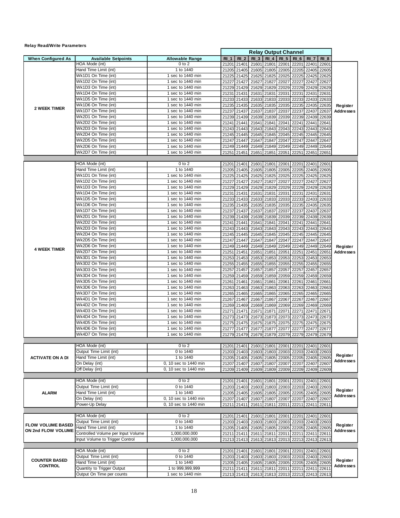| <b>Relay Read/Write Parameters</b> |                                                  |                                        |      |                            |                                                    |                |                |                   |                |                         |                              |
|------------------------------------|--------------------------------------------------|----------------------------------------|------|----------------------------|----------------------------------------------------|----------------|----------------|-------------------|----------------|-------------------------|------------------------------|
|                                    |                                                  |                                        |      |                            | <b>Relay Output Channel</b>                        |                |                |                   |                |                         |                              |
| <b>When Configured As</b>          | <b>Available Setpoints</b>                       | <b>Allowable Range</b>                 | RI 1 | RI <sub>2</sub>            | R13                                                | $RI$ 4         | <b>RI 5</b>    | $RI_6$            | RI 7           | RI 8                    |                              |
|                                    | HOA Mode (int)                                   | $0$ to $2$                             |      | 21201 21401                | 21601                                              | 21801          | 22001          | 22201             | 22401          | 22601                   |                              |
|                                    | Hand Time Limit (int)<br>Wk1D1 On Time (int)     | 1 to 1440                              |      | 21205 21405                | 21605 21805                                        |                | 22005          | 22205             |                | 22405 22605             |                              |
|                                    | Wk1D2 On Time (int)                              | 1 sec to 1440 min<br>1 sec to 1440 min |      | 21227 21427                | 21225 21425 21625<br>21627                         | 21825<br>21827 | 22025<br>22027 | 22225<br>22227    | 22425<br>22427 | 22625<br>22627          |                              |
|                                    | Wk1D3 On Time (int)                              | 1 sec to 1440 min                      |      | 21229 21429                | 21629                                              | 21829          | 22029          | 22229             | 22429          | 22629                   | Register                     |
|                                    | Wk1D4 On Time (int)                              | 1 sec to 1440 min                      |      | 21231 21431                | 21631                                              | 21831          | 22031          | 22231             | 22431          | 2263'                   |                              |
|                                    | Wk1D5 On Time (int)                              | 1 sec to 1440 min                      |      |                            | 21233 21433 21633                                  | 21833          | 22033          | 22233             |                | 22433 22633             |                              |
|                                    | Wk1D6 On Time (int)                              | 1 sec to 1440 min                      |      |                            | 21235 21435 21635                                  | 21835          | 22035          | 22235             |                | 22435 22635             |                              |
| <b>2 WEEK TIMER</b>                | Wk1D7 On Time (int)                              | 1 sec to 1440 min                      |      | 21237 21437                | 21637                                              | 21837          | 22037          | 22237             | 22437          | 22637                   | <b>Addresses</b>             |
|                                    | Wk2D1 On Time (int)                              | 1 sec to 1440 min                      |      |                            | 21239 21439 21639 21839                            |                | 22039          | 22239             |                | 22439 22639             |                              |
|                                    | Wk2D2 On Time (int)                              | 1 sec to 1440 min                      |      | 21241 21441                | 21641                                              | 21841          | 22041          | 22241             | 22441 2264     |                         |                              |
|                                    | Wk2D3 On Time (int)                              | 1 sec to 1440 min                      |      |                            | 21243 21443 21643 21843 22043                      |                |                | 22243             |                | 22443 22643             |                              |
|                                    | Wk2D4 On Time (int)                              | 1 sec to 1440 min                      |      |                            | 21245 21445 21645 21845 22045                      |                |                | 22245             |                | 22445 22645             |                              |
|                                    | Wk2D5 On Time (int)                              | $1$ sec to 1440 min                    |      | 21247 21447                | 21647                                              | 21847          | 22047          | 22247             |                | 22447 22647             |                              |
|                                    | Wk2D6 On Time (int)<br>Wk2D7 On Time (int)       | 1 sec to 1440 min<br>1 sec to 1440 min |      |                            | 21249 21449 21649 21849 22049                      |                |                | 22249             |                | 22449 22649             |                              |
|                                    |                                                  |                                        |      | 21251 21451                | 21651                                              | 21851          | 22051 22251    |                   | 22451 22651    |                         |                              |
|                                    | HOA Mode (int)                                   | $0$ to $2$                             |      |                            | 21201 21401 21601 21801 22001 22201                |                |                |                   | 22401 22601    |                         |                              |
|                                    | Hand Time Limit (int)                            | 1 to 1440                              |      |                            | 21205 21405 21605 21805                            |                | 22005          | 22205             |                | 22405 22605             |                              |
|                                    | Wk1D1 On Time (int)                              | 1 sec to 1440 min                      |      |                            | 21225 21425 21625 21825                            |                | 22025          | 22225             |                | 22425 22625             |                              |
|                                    | Wk1D2 On Time (int)                              | 1 sec to 1440 min                      |      |                            | 21227 21427 21627 21827                            |                | 22027          | 22227             | 22427          | 22627                   |                              |
|                                    | Wk1D3 On Time (int)                              | 1 sec to 1440 min                      |      |                            | 21229 21429 21629 21829                            |                | 22029          | 22229             | 22429          | 22629                   |                              |
|                                    | Wk1D4 On Time (int)                              | 1 sec to 1440 min                      |      |                            | 21231 21431 21631 21831                            |                | 22031          | 22231             | 22431          | 2263'                   |                              |
|                                    | Wk1D5 On Time (int)                              | 1 sec to 1440 min                      |      |                            | 21233 21433 21633 21833                            |                | 22033          | 22233             |                | 22433 22633             |                              |
|                                    | Wk1D6 On Time (int)                              | 1 sec to 1440 min                      |      |                            | 21235 21435 21635 21835                            |                | 22035          | 22235             | 22435          | 22635                   |                              |
|                                    | Wk1D7 On Time (int)                              | 1 sec to 1440 min                      |      | 21237 21437                | 21637 21837                                        |                | 22037          | 22237             | 22437          | 22637                   |                              |
|                                    | Wk2D1 On Time (int)                              | 1 sec to 1440 min                      |      |                            | 21239 21439 21639 21839                            |                | 22039          | 22239             | 22439          | 22639                   |                              |
|                                    | Wk2D2 On Time (int)                              | 1 sec to 1440 min                      |      | 21241 21441                | 21641 21841                                        |                | 22041          | 22241             | 22441          | 22641                   |                              |
|                                    | Wk2D3 On Time (int)                              | 1 sec to 1440 min                      |      |                            | 21243 21443 21643 21843                            |                | 22043          | 22243             | 22443          | 22643                   |                              |
|                                    | Wk2D4 On Time (int)                              | 1 sec to 1440 min                      |      |                            | 21245 21445 21645 21845                            |                | 22045          | 22245             | 22445          | 22645                   |                              |
|                                    | Wk2D5 On Time (int)                              | 1 sec to 1440 min                      |      | 21247 21447                | 21647 21847                                        |                | 22047          | 22247             | 22447          | 22647                   |                              |
| <b>4 WEEK TIMER</b>                | Wk2D6 On Time (int)                              | 1 sec to 1440 min                      |      |                            | 21249 21449 21649 21849                            |                | 22049          | 22249             | 22449          | 22649                   | Register                     |
|                                    | Wk2D7 On Time (int)                              | 1 sec to 1440 min                      |      | 21251 21451                | 21651                                              | 21851          | 22051          | 22251             | 22451          | 2265                    | <b>Addresses</b>             |
|                                    | Wk3D1 On Time (int)                              | 1 sec to 1440 min                      |      |                            | 21253 21453 21653 21853                            |                | 22053          | 22253             | 22453          | 22653                   |                              |
|                                    | Wk3D2 On Time (int)                              | 1 sec to 1440 min                      |      | 21255 21455                | 21655 21855                                        |                | 22055          | 22255             | 22455          | 22655                   |                              |
|                                    | Wk3D3 On Time (int)                              | 1 sec to 1440 min<br>1 sec to 1440 min |      | 21257 21457                | 21657 21857                                        |                | 22057          | 22257             | 22457          | 22657                   |                              |
|                                    | Wk3D4 On Time (int)<br>Wk3D5 On Time (int)       | 1 sec to 1440 min                      |      | 21259 21459                | 21659 21859                                        |                | 22059          | 22259             | 22459          | 22659                   |                              |
|                                    | Wk3D6 On Time (int)                              | 1 sec to 1440 min                      |      | 21261 21461                | 21661                                              | 21861          | 22061          | 22261             | 22461          | 2266                    |                              |
|                                    | Wk3D7 On Time (int)                              | 1 sec to 1440 min                      |      | 21263 21463<br>21265 21465 | 21663 21863<br>21665 21865                         |                | 22063<br>22065 | 22263<br>22265    | 22463<br>22465 | 22663<br>22665          |                              |
|                                    | Wk4D1 On Time (int)                              | 1 sec to 1440 min                      |      | 21267 21467                | 21667                                              | 21867          | 22067          | 22267             | 22467          | 22667                   |                              |
|                                    | Wk4D2 On Time (int)                              | 1 sec to 1440 min                      |      | 21269 21469                | 21669 21869                                        |                | 22069          | 22269             | 22469          | 22669                   |                              |
|                                    | Wk4D3 On Time (int)                              | 1 sec to 1440 min                      |      | 21271 21471                | 21671                                              | 21871          | 22071          | 22271             | 22471          | 2267'                   |                              |
|                                    | Wk4D4 On Time (int)                              | 1 sec to 1440 min                      |      |                            | 21273 21473 21673 21873                            |                | 22073          | 22273             |                | 22473 22673             |                              |
|                                    | Wk4D5 On Time (int)                              | 1 sec to 1440 min                      |      |                            | 21275 21475 21675 21875                            |                | 22075          | 22275             | 22475          | 22675                   |                              |
|                                    | Wk4D6 On Time (int)                              | 1 sec to 1440 min                      |      |                            | 21277 21477 21677 21877                            |                | 22077 22277    |                   |                | 22477 22677             |                              |
|                                    | Wk4D7 On Time (int)                              | 1 sec to 1440 min                      |      |                            | 21279 21479 21679 21879 22079 22279 22479 22679    |                |                |                   |                |                         |                              |
|                                    |                                                  |                                        |      |                            |                                                    |                |                |                   |                |                         |                              |
|                                    | HOA Mode (int)                                   | $0$ to $2$                             |      | 21201 21401                | 21601 21801                                        |                | 22001          | 22201             | 22401 22601    |                         |                              |
|                                    | Output Time Limit (int)<br>Hand Time Limit (int) | 0 to 1440<br>1 to 1440                 |      | 21203 21403                | 21603 21803                                        |                | 22003          | 22203             |                | 22403 22603             | Register                     |
| <b>ACTIVATE ON A DI</b>            |                                                  | 0, 10 sec to 1440 min                  |      |                            | 21205 21405 21605 21805 22005                      |                |                | 22205             | 22405 22605    |                         | <b>Addresses</b>             |
|                                    | On Delay (int)<br>Off Delay (int)                | 0, 10 sec to 1440 min                  |      |                            | 21207 21407 21607 21807<br>21209 21409 21609 21809 |                | 22007          | 22207             | 22407 22607    | 22009 22209 22409 22609 |                              |
|                                    |                                                  |                                        |      |                            |                                                    |                |                |                   |                |                         |                              |
|                                    | HOA Mode (int)                                   | $0$ to $2$                             |      | 21201 21401                | 21601 21801                                        |                | 22001          | 22201             | 22401          | 22601                   |                              |
|                                    | Output Time Limit (int)                          | 0 to 1440                              |      |                            | 21203 21403 21603 21803 22003 22203 22403 22603    |                |                |                   |                |                         |                              |
| <b>ALARM</b>                       | Hand Time Limit (int)                            | 1 to 1440                              |      |                            | 21205 21405 21605 21805 22005                      |                |                | 22205 22405 22605 |                |                         | Register<br><b>Addresses</b> |
|                                    | On Delay (int)                                   | 0, 10 sec to 1440 min                  |      |                            | 21207 21407 21607 21807                            |                | 22007          | 22207             | 22407 22607    |                         |                              |
|                                    | Power-Up Delay                                   | 0, 10 sec to 1440 min                  |      |                            | 21211 21411 21611 21811 22011 22211                |                |                |                   | 22411 22611    |                         |                              |
|                                    | HOA Mode (int)                                   | $0$ to $2$                             |      |                            |                                                    |                |                | 22201             | 22401          |                         |                              |
|                                    | Output Time Limit (int)                          | 0 to 1440                              |      | 21201 21401                | 21601 21801<br>21203 21403 21603 21803             |                | 22001<br>22003 | 22203             |                | 22601<br>22403 22603    |                              |
| <b>FLOW VOLUME BASED</b>           | Hand Time Limit (int)                            | 1 to 1440                              |      |                            | 21205 21405 21605 21805                            |                | 22005          |                   | 22205 22405    | 22605                   | Register                     |
| ON 2nd FLOW VOLUME                 | Controlled Volume per Input Volume               | 1,000,000,000                          |      |                            | 21211 21411 21611 21811                            |                | 22011          | 22211             | 22411          | 2261                    | <b>Addresses</b>             |
|                                    | Input Volume to Trigger Control                  | 1,000,000,000                          |      |                            | 21213 21413 21613 21813 22013 22213 22413 22613    |                |                |                   |                |                         |                              |
|                                    |                                                  |                                        |      |                            |                                                    |                |                |                   |                |                         |                              |
|                                    | HOA Mode (int)                                   | $0$ to $2$                             |      |                            | 21201 21401 21601 21801 22001 22201 22401 22601    |                |                |                   |                |                         |                              |
|                                    | Output Time Limit (int)                          | 0 to 1440                              |      |                            | 21203 21403 21603 21803 22003 22203 22403 22603    |                |                |                   |                |                         |                              |
| <b>COUNTER BASED</b>               | Hand Time Limit (int)                            | 1 to 1440                              |      |                            | 21205 21405 21605 21805 22005 22205 22405 22605    |                |                |                   |                |                         | Register                     |
| <b>CONTROL</b>                     | Quantity to Trigger Output                       | 1 to 999,999,999                       |      |                            | 21211 21411 21611 21811 22011 22211 22411 22611    |                |                |                   |                |                         | <b>Addresses</b>             |
|                                    | Output On Time per counts                        | 1 sec to 1440 min                      |      |                            | 21213 21413 21613 21813 22013 22213 22413 22613    |                |                |                   |                |                         |                              |